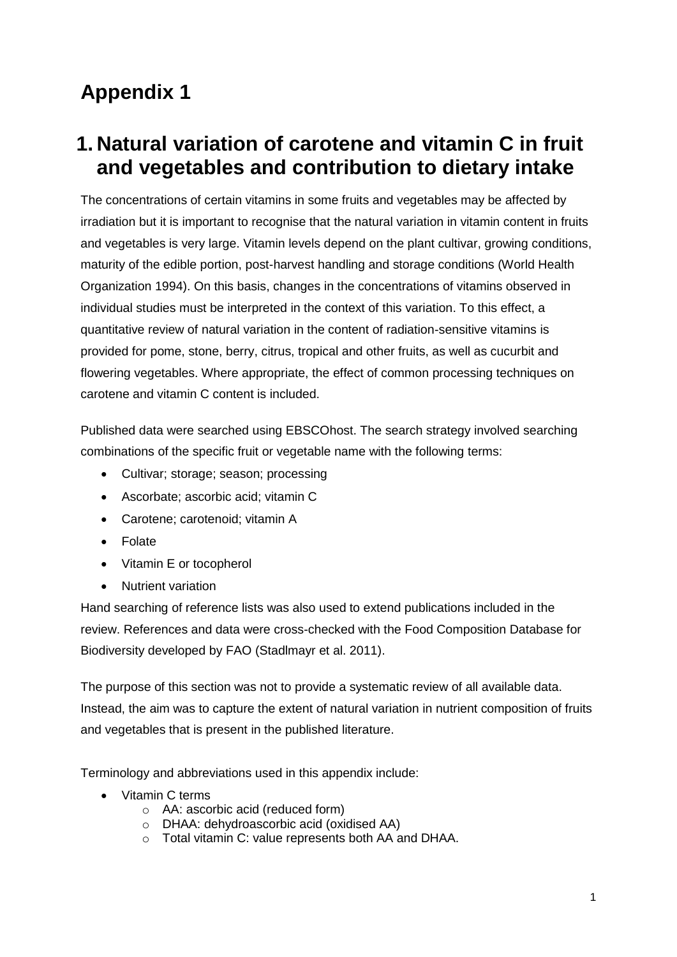# **Appendix 1**

## **1. Natural variation of carotene and vitamin C in fruit and vegetables and contribution to dietary intake**

The concentrations of certain vitamins in some fruits and vegetables may be affected by irradiation but it is important to recognise that the natural variation in vitamin content in fruits and vegetables is very large. Vitamin levels depend on the plant cultivar, growing conditions, maturity of the edible portion, post-harvest handling and storage conditions (World Health Organization 1994). On this basis, changes in the concentrations of vitamins observed in individual studies must be interpreted in the context of this variation. To this effect, a quantitative review of natural variation in the content of radiation-sensitive vitamins is provided for pome, stone, berry, citrus, tropical and other fruits, as well as cucurbit and flowering vegetables. Where appropriate, the effect of common processing techniques on carotene and vitamin C content is included.

Published data were searched using EBSCOhost. The search strategy involved searching combinations of the specific fruit or vegetable name with the following terms:

- Cultivar; storage; season; processing
- Ascorbate; ascorbic acid; vitamin C
- Carotene; carotenoid; vitamin A
- Folate
- Vitamin E or tocopherol
- Nutrient variation

Hand searching of reference lists was also used to extend publications included in the review. References and data were cross-checked with the Food Composition Database for Biodiversity developed by FAO (Stadlmayr et al. 2011).

The purpose of this section was not to provide a systematic review of all available data. Instead, the aim was to capture the extent of natural variation in nutrient composition of fruits and vegetables that is present in the published literature.

Terminology and abbreviations used in this appendix include:

- Vitamin C terms
	- o AA: ascorbic acid (reduced form)
	- o DHAA: dehydroascorbic acid (oxidised AA)
	- o Total vitamin C: value represents both AA and DHAA.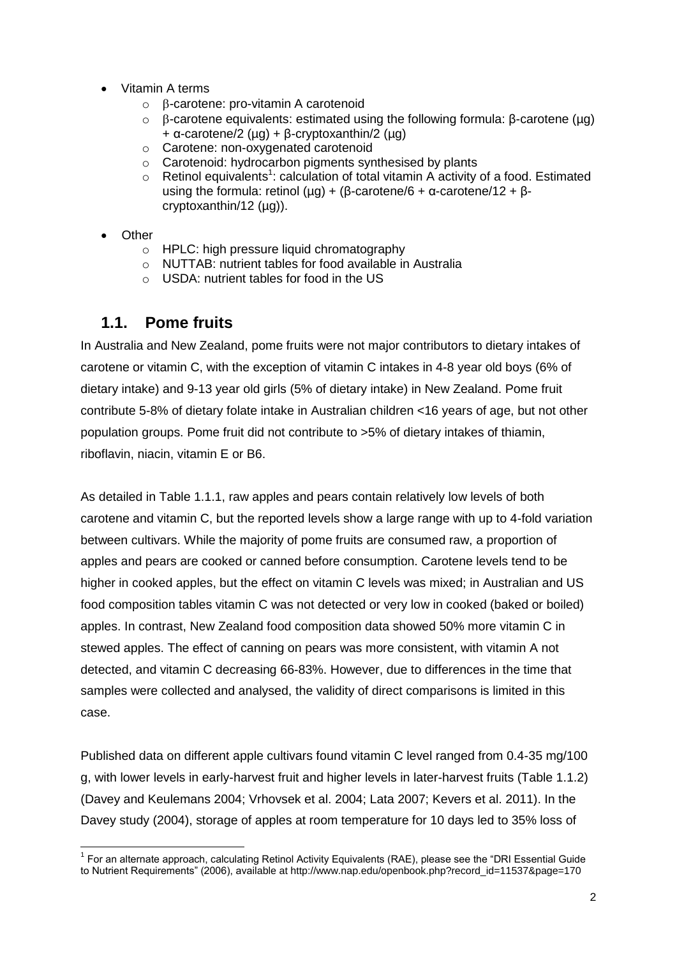- Vitamin A terms
	- $\circ$   $\beta$ -carotene: pro-vitamin A carotenoid
	- o -carotene equivalents: estimated using the following formula: β-carotene (µg) + α-carotene/2 (µg) + β-cryptoxanthin/2 (µg)
	- o Carotene: non-oxygenated carotenoid
	- o Carotenoid: hydrocarbon pigments synthesised by plants
	- $\circ$  Retinol equivalents<sup>1</sup>: calculation of total vitamin A activity of a food. Estimated using the formula: retinol ( $\mu$ g) + (β-carotene/6 + α-carotene/12 + βcryptoxanthin/12 (ug)).
- **Other** 
	- o HPLC: high pressure liquid chromatography
	- o NUTTAB: nutrient tables for food available in Australia
	- o USDA: nutrient tables for food in the US

#### **1.1. Pome fruits**

In Australia and New Zealand, pome fruits were not major contributors to dietary intakes of carotene or vitamin C, with the exception of vitamin C intakes in 4-8 year old boys (6% of dietary intake) and 9-13 year old girls (5% of dietary intake) in New Zealand. Pome fruit contribute 5-8% of dietary folate intake in Australian children <16 years of age, but not other population groups. Pome fruit did not contribute to >5% of dietary intakes of thiamin, riboflavin, niacin, vitamin E or B6.

As detailed in Table 1.1.1, raw apples and pears contain relatively low levels of both carotene and vitamin C, but the reported levels show a large range with up to 4-fold variation between cultivars. While the majority of pome fruits are consumed raw, a proportion of apples and pears are cooked or canned before consumption. Carotene levels tend to be higher in cooked apples, but the effect on vitamin C levels was mixed; in Australian and US food composition tables vitamin C was not detected or very low in cooked (baked or boiled) apples. In contrast, New Zealand food composition data showed 50% more vitamin C in stewed apples. The effect of canning on pears was more consistent, with vitamin A not detected, and vitamin C decreasing 66-83%. However, due to differences in the time that samples were collected and analysed, the validity of direct comparisons is limited in this case.

Published data on different apple cultivars found vitamin C level ranged from 0.4-35 mg/100 g, with lower levels in early-harvest fruit and higher levels in later-harvest fruits (Table 1.1.2) (Davey and Keulemans 2004; Vrhovsek et al. 2004; Lata 2007; Kevers et al. 2011). In the Davey study (2004), storage of apples at room temperature for 10 days led to 35% loss of

 <sup>1</sup> For an alternate approach, calculating Retinol Activity Equivalents (RAE), please see the "DRI Essential Guide to Nutrient Requirements" (2006), available at http://www.nap.edu/openbook.php?record\_id=11537&page=170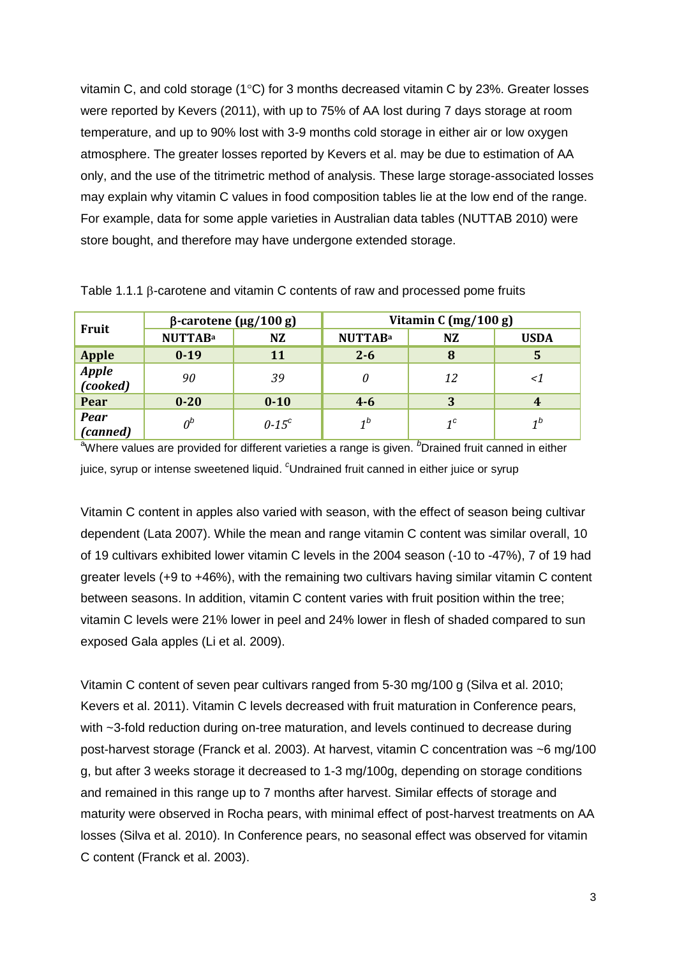vitamin C, and cold storage ( $1^{\circ}$ C) for 3 months decreased vitamin C by 23%. Greater losses were reported by Kevers (2011), with up to 75% of AA lost during 7 days storage at room temperature, and up to 90% lost with 3-9 months cold storage in either air or low oxygen atmosphere. The greater losses reported by Kevers et al. may be due to estimation of AA only, and the use of the titrimetric method of analysis. These large storage-associated losses may explain why vitamin C values in food composition tables lie at the low end of the range. For example, data for some apple varieties in Australian data tables (NUTTAB 2010) were store bought, and therefore may have undergone extended storage.

| Fruit                   | $β$ -carotene (μg/100 g) |                     | Vitamin C $(mg/100 g)$ |             |                |
|-------------------------|--------------------------|---------------------|------------------------|-------------|----------------|
|                         | <b>NUTTABa</b>           | NZ                  | <b>NUTTABa</b>         | <b>NZ</b>   | <b>USDA</b>    |
| <b>Apple</b>            | $0-19$                   | 11                  | $2 - 6$                | 8           | 5              |
| Apple<br>(cooked)       | 90                       | 39                  |                        | 12          | <1             |
| Pear                    | $0 - 20$                 | $0 - 10$            | $4 - 6$                | 3           |                |
| <b>Pear</b><br>(canned) | $0^b$                    | $0-15$ <sup>c</sup> | 1 <sup>b</sup>         | $1^{\circ}$ | 1 <sup>b</sup> |

Table 1.1.1  $\beta$ -carotene and vitamin C contents of raw and processed pome fruits

<sup>a</sup>Where values are provided for different varieties a range is given. <sup>b</sup>Drained fruit canned in either juice, syrup or intense sweetened liquid. *<sup>c</sup>*Undrained fruit canned in either juice or syrup

Vitamin C content in apples also varied with season, with the effect of season being cultivar dependent (Lata 2007). While the mean and range vitamin C content was similar overall, 10 of 19 cultivars exhibited lower vitamin C levels in the 2004 season (-10 to -47%), 7 of 19 had greater levels (+9 to +46%), with the remaining two cultivars having similar vitamin C content between seasons. In addition, vitamin C content varies with fruit position within the tree; vitamin C levels were 21% lower in peel and 24% lower in flesh of shaded compared to sun exposed Gala apples (Li et al. 2009).

Vitamin C content of seven pear cultivars ranged from 5-30 mg/100 g (Silva et al. 2010; Kevers et al. 2011). Vitamin C levels decreased with fruit maturation in Conference pears, with ~3-fold reduction during on-tree maturation, and levels continued to decrease during post-harvest storage (Franck et al. 2003). At harvest, vitamin C concentration was ~6 mg/100 g, but after 3 weeks storage it decreased to 1-3 mg/100g, depending on storage conditions and remained in this range up to 7 months after harvest. Similar effects of storage and maturity were observed in Rocha pears, with minimal effect of post-harvest treatments on AA losses (Silva et al. 2010). In Conference pears, no seasonal effect was observed for vitamin C content (Franck et al. 2003).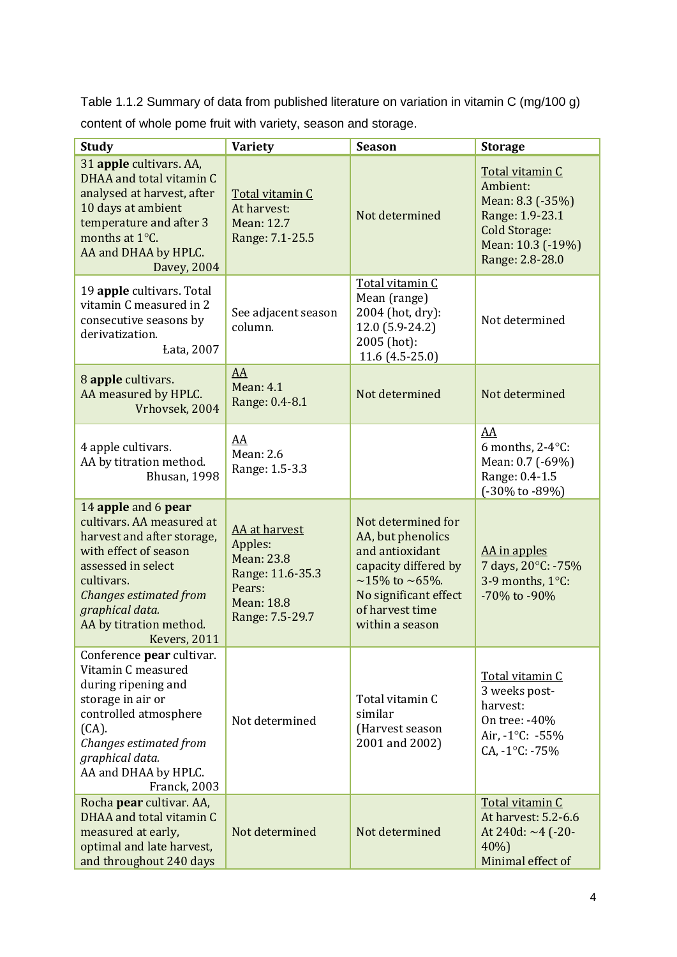Table 1.1.2 Summary of data from published literature on variation in vitamin C (mg/100 g) content of whole pome fruit with variety, season and storage.

| <b>Study</b>                                                                                                                                                                                                                        | <b>Variety</b>                                                                                               | <b>Season</b>                                                                                                                                                                  | <b>Storage</b>                                                                                                                     |
|-------------------------------------------------------------------------------------------------------------------------------------------------------------------------------------------------------------------------------------|--------------------------------------------------------------------------------------------------------------|--------------------------------------------------------------------------------------------------------------------------------------------------------------------------------|------------------------------------------------------------------------------------------------------------------------------------|
| 31 apple cultivars. AA,<br>DHAA and total vitamin C<br>analysed at harvest, after<br>10 days at ambient<br>temperature and after 3<br>months at 1°C.<br>AA and DHAA by HPLC.<br>Davey, 2004                                         | Total vitamin C<br>At harvest:<br>Mean: 12.7<br>Range: 7.1-25.5                                              | Not determined                                                                                                                                                                 | Total vitamin C<br>Ambient:<br>Mean: 8.3 (-35%)<br>Range: 1.9-23.1<br><b>Cold Storage:</b><br>Mean: 10.3 (-19%)<br>Range: 2.8-28.0 |
| 19 apple cultivars. Total<br>vitamin C measured in 2<br>consecutive seasons by<br>derivatization.<br><b>Łata</b> , 2007                                                                                                             | See adjacent season<br>column.                                                                               | Total vitamin C<br>Mean (range)<br>2004 (hot, dry):<br>12.0 (5.9-24.2)<br>2005 (hot):<br>11.6 (4.5-25.0)                                                                       | Not determined                                                                                                                     |
| 8 apple cultivars.<br>AA measured by HPLC.<br>Vrhovsek, 2004                                                                                                                                                                        | AA<br><b>Mean: 4.1</b><br>Range: 0.4-8.1                                                                     | Not determined                                                                                                                                                                 | Not determined                                                                                                                     |
| 4 apple cultivars.<br>AA by titration method.<br>Bhusan, 1998                                                                                                                                                                       | AA<br>Mean: 2.6<br>Range: 1.5-3.3                                                                            |                                                                                                                                                                                | AA<br>6 months, $2-4$ °C:<br>Mean: 0.7 (-69%)<br>Range: 0.4-1.5<br>$(-30\% \text{ to } -89\%)$                                     |
| 14 apple and 6 pear<br>cultivars. AA measured at<br>harvest and after storage,<br>with effect of season<br>assessed in select<br>cultivars.<br>Changes estimated from<br>graphical data.<br>AA by titration method.<br>Kevers, 2011 | AA at harvest<br>Apples:<br>Mean: 23.8<br>Range: 11.6-35.3<br>Pears:<br><b>Mean: 18.8</b><br>Range: 7.5-29.7 | Not determined for<br>AA, but phenolics<br>and antioxidant<br>capacity differed by<br>$\sim$ 15% to $\sim$ 65%.<br>No significant effect<br>of harvest time<br>within a season | AA in apples<br>7 days, 20°C: -75%<br>3-9 months, 1°C:<br>-70% to -90%                                                             |
| Conference pear cultivar.<br>Vitamin C measured<br>during ripening and<br>storage in air or<br>controlled atmosphere<br>$(CA)$ .<br>Changes estimated from<br>graphical data.<br>AA and DHAA by HPLC.<br><b>Franck, 2003</b>        | Not determined                                                                                               | Total vitamin C<br>similar<br>(Harvest season<br>2001 and 2002)                                                                                                                | Total vitamin C<br>3 weeks post-<br>harvest:<br>On tree: -40%<br>Air, $-1^{\circ}$ C: $-55\%$<br>$CA, -1^{\circ}C: -75\%$          |
| Rocha pear cultivar. AA,<br>DHAA and total vitamin C<br>measured at early,<br>optimal and late harvest,<br>and throughout 240 days                                                                                                  | Not determined                                                                                               | Not determined                                                                                                                                                                 | Total vitamin C<br>At harvest: 5.2-6.6<br>At 240d: $\sim$ 4 (-20-<br>40%<br>Minimal effect of                                      |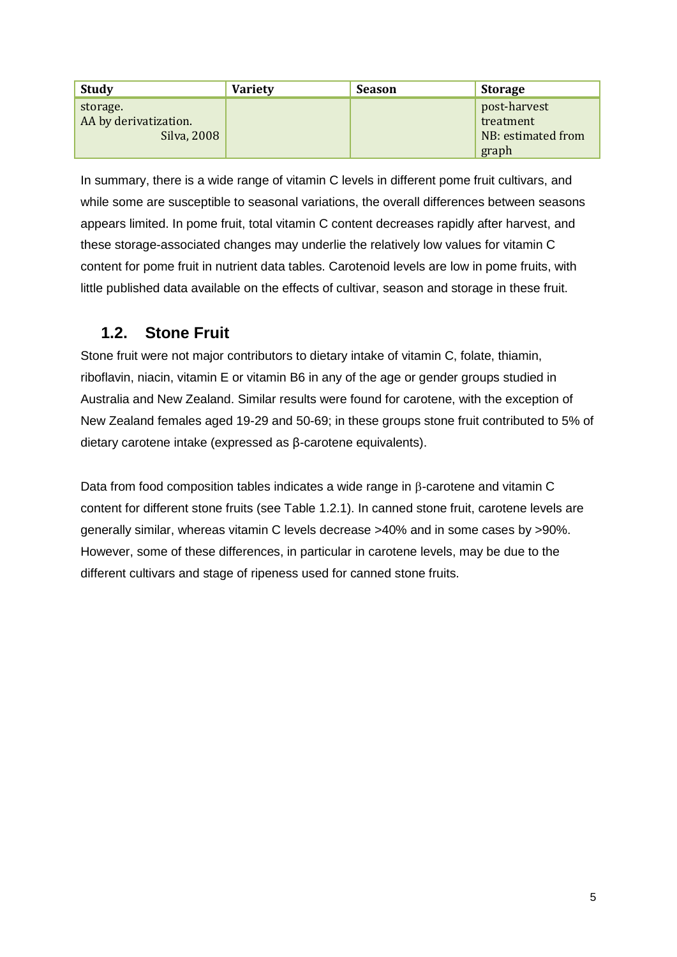| <b>Study</b>          | <b>Variety</b> | <b>Season</b> | <b>Storage</b>     |
|-----------------------|----------------|---------------|--------------------|
| storage.              |                |               | post-harvest       |
| AA by derivatization. |                |               | treatment          |
| Silva, 2008           |                |               | NB: estimated from |
|                       |                |               | graph              |

In summary, there is a wide range of vitamin C levels in different pome fruit cultivars, and while some are susceptible to seasonal variations, the overall differences between seasons appears limited. In pome fruit, total vitamin C content decreases rapidly after harvest, and these storage-associated changes may underlie the relatively low values for vitamin C content for pome fruit in nutrient data tables. Carotenoid levels are low in pome fruits, with little published data available on the effects of cultivar, season and storage in these fruit.

### **1.2. Stone Fruit**

Stone fruit were not major contributors to dietary intake of vitamin C, folate, thiamin, riboflavin, niacin, vitamin E or vitamin B6 in any of the age or gender groups studied in Australia and New Zealand. Similar results were found for carotene, with the exception of New Zealand females aged 19-29 and 50-69; in these groups stone fruit contributed to 5% of dietary carotene intake (expressed as β-carotene equivalents).

Data from food composition tables indicates a wide range in  $\beta$ -carotene and vitamin C content for different stone fruits (see Table 1.2.1). In canned stone fruit, carotene levels are generally similar, whereas vitamin C levels decrease >40% and in some cases by >90%. However, some of these differences, in particular in carotene levels, may be due to the different cultivars and stage of ripeness used for canned stone fruits.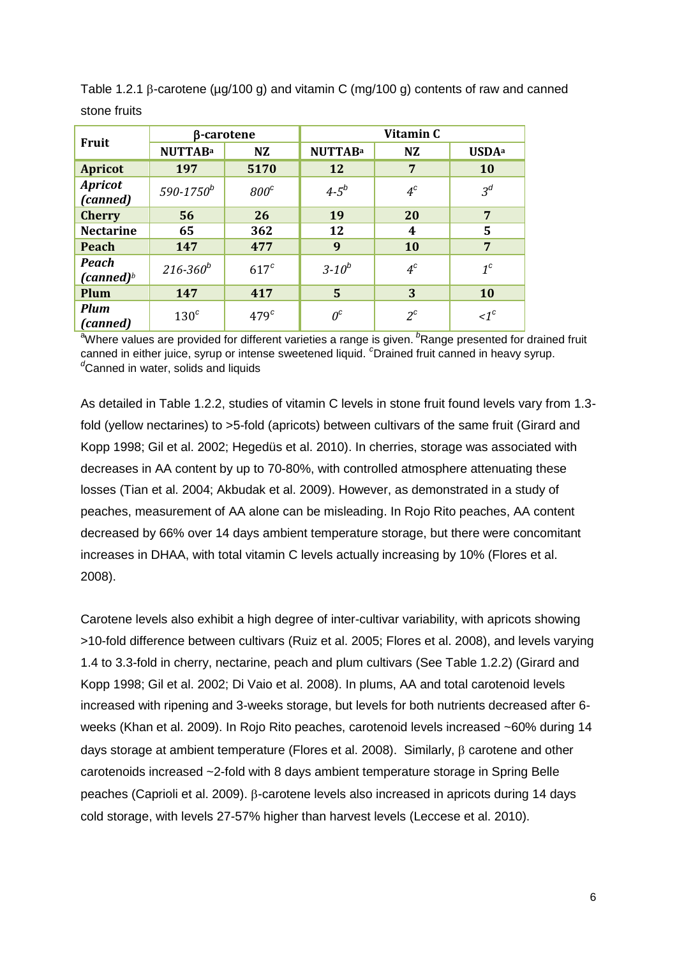| <b>Fruit</b>                           | β-carotene       |                  | Vitamin C      |           |                          |
|----------------------------------------|------------------|------------------|----------------|-----------|--------------------------|
|                                        | <b>NUTTABa</b>   | <b>NZ</b>        | <b>NUTTABa</b> | <b>NZ</b> | <b>USDA</b> <sup>a</sup> |
| <b>Apricot</b>                         | 197              | 5170             | 12             | 7         | 10                       |
| <b>Apricot</b><br>(canned)             | $590 - 1750^b$   | $800^{\circ}$    | $4 - 5^{b}$    | $4^c$     | $3^d$                    |
| <b>Cherry</b>                          | 56               | 26               | 19             | 20        | 7                        |
| <b>Nectarine</b>                       | 65               | 362              | 12             | 4         | 5                        |
| <b>Peach</b>                           | 147              | 477              | 9              | 10        | $\overline{7}$           |
| <b>Peach</b><br>(canned) $\frac{b}{2}$ | $216 - 360^b$    | $617^c$          | $3 - 10^{b}$   | $4^c$     | $1^c$                    |
| Plum                                   | 147              | 417              | 5              | 3         | 10                       |
| <b>Plum</b><br>(canned)                | 130 <sup>c</sup> | 479 <sup>c</sup> | $0^c$          | $2^c$     | $\leq1^c$                |

Table 1.2.1  $\beta$ -carotene ( $\mu$ g/100 g) and vitamin C (mg/100 g) contents of raw and canned stone fruits

<sup>a</sup>Where values are provided for different varieties a range is given. <sup>*b*</sup>Range presented for drained fruit canned in either juice, syrup or intense sweetened liquid. *<sup>c</sup>*Drained fruit canned in heavy syrup. *<sup>d</sup>*Canned in water, solids and liquids

As detailed in Table 1.2.2, studies of vitamin C levels in stone fruit found levels vary from 1.3 fold (yellow nectarines) to >5-fold (apricots) between cultivars of the same fruit (Girard and Kopp 1998; Gil et al. 2002; Hegedüs et al. 2010). In cherries, storage was associated with decreases in AA content by up to 70-80%, with controlled atmosphere attenuating these losses (Tian et al. 2004; Akbudak et al. 2009). However, as demonstrated in a study of peaches, measurement of AA alone can be misleading. In Rojo Rito peaches, AA content decreased by 66% over 14 days ambient temperature storage, but there were concomitant increases in DHAA, with total vitamin C levels actually increasing by 10% (Flores et al. 2008).

Carotene levels also exhibit a high degree of inter-cultivar variability, with apricots showing >10-fold difference between cultivars (Ruiz et al. 2005; Flores et al. 2008), and levels varying 1.4 to 3.3-fold in cherry, nectarine, peach and plum cultivars (See Table 1.2.2) (Girard and Kopp 1998; Gil et al. 2002; Di Vaio et al. 2008). In plums, AA and total carotenoid levels increased with ripening and 3-weeks storage, but levels for both nutrients decreased after 6 weeks (Khan et al. 2009). In Rojo Rito peaches, carotenoid levels increased ~60% during 14 days storage at ambient temperature (Flores et al. 2008). Similarly,  $\beta$  carotene and other carotenoids increased ~2-fold with 8 days ambient temperature storage in Spring Belle peaches (Caprioli et al. 2009). B-carotene levels also increased in apricots during 14 days cold storage, with levels 27-57% higher than harvest levels (Leccese et al. 2010).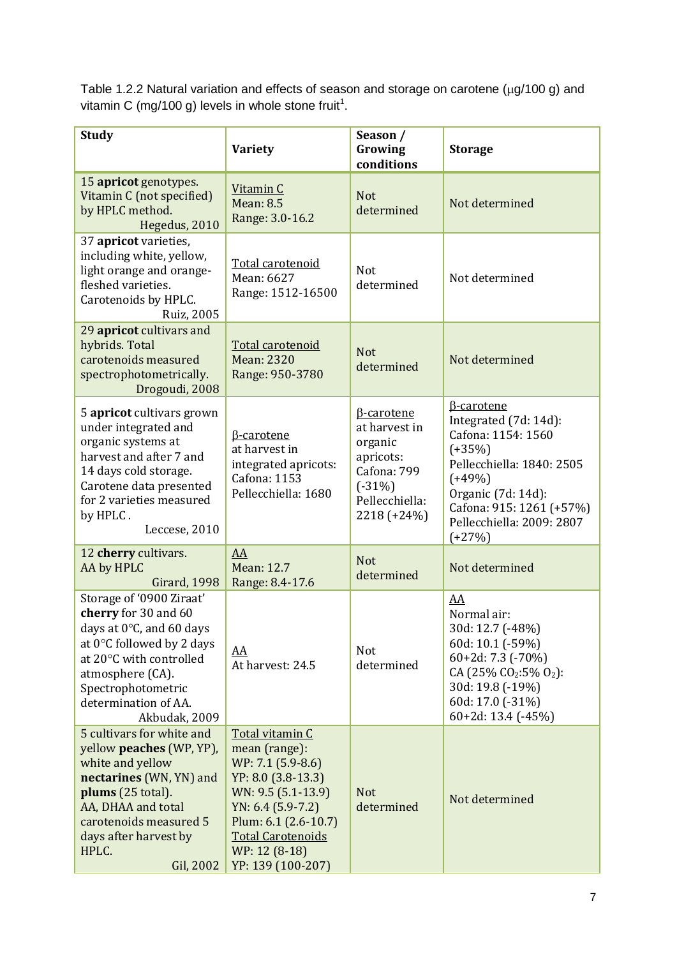Table 1.2.2 Natural variation and effects of season and storage on carotene ( $\mu$ g/100 g) and vitamin C (mg/100 g) levels in whole stone fruit<sup>1</sup>.

| <b>Study</b>                                                                                                                                                                                                                      | <b>Variety</b>                                                                                                                                                                                                     | Season /<br>Growing<br>conditions                                                                                      | <b>Storage</b>                                                                                                                                                                                                   |
|-----------------------------------------------------------------------------------------------------------------------------------------------------------------------------------------------------------------------------------|--------------------------------------------------------------------------------------------------------------------------------------------------------------------------------------------------------------------|------------------------------------------------------------------------------------------------------------------------|------------------------------------------------------------------------------------------------------------------------------------------------------------------------------------------------------------------|
| 15 apricot genotypes.<br>Vitamin C (not specified)<br>by HPLC method.<br>Hegedus, 2010                                                                                                                                            | Vitamin C<br><b>Mean: 8.5</b><br>Range: 3.0-16.2                                                                                                                                                                   | <b>Not</b><br>determined                                                                                               | Not determined                                                                                                                                                                                                   |
| 37 apricot varieties,<br>including white, yellow,<br>light orange and orange-<br>fleshed varieties.<br>Carotenoids by HPLC.<br><b>Ruiz, 2005</b>                                                                                  | Total carotenoid<br>Mean: 6627<br>Range: 1512-16500                                                                                                                                                                | Not<br>determined                                                                                                      | Not determined                                                                                                                                                                                                   |
| 29 apricot cultivars and<br>hybrids. Total<br>carotenoids measured<br>spectrophotometrically.<br>Drogoudi, 2008                                                                                                                   | Total carotenoid<br><b>Mean: 2320</b><br>Range: 950-3780                                                                                                                                                           | <b>Not</b><br>determined                                                                                               | Not determined                                                                                                                                                                                                   |
| 5 apricot cultivars grown<br>under integrated and<br>organic systems at<br>harvest and after 7 and<br>14 days cold storage.<br>Carotene data presented<br>for 2 varieties measured<br>by HPLC.<br>Leccese, 2010                   | <b>B-carotene</b><br>at harvest in<br>integrated apricots:<br><b>Cafona: 1153</b><br>Pellecchiella: 1680                                                                                                           | <b>B-carotene</b><br>at harvest in<br>organic<br>apricots:<br>Cafona: 799<br>$(-31%)$<br>Pellecchiella:<br>2218 (+24%) | <b>B-carotene</b><br>Integrated (7d: 14d):<br>Cafona: 1154: 1560<br>$(+35%)$<br>Pellecchiella: 1840: 2505<br>$(+49%)$<br>Organic (7d: 14d):<br>Cafona: 915: 1261 (+57%)<br>Pellecchiella: 2009: 2807<br>$(+27%)$ |
| 12 cherry cultivars.<br>AA by HPLC<br><b>Girard, 1998</b>                                                                                                                                                                         | AA<br>Mean: 12.7<br>Range: 8.4-17.6                                                                                                                                                                                | <b>Not</b><br>determined                                                                                               | Not determined                                                                                                                                                                                                   |
| Storage of '0900 Ziraat'<br>cherry for 30 and 60<br>days at 0°C, and 60 days<br>at $0^{\circ}$ C followed by 2 days<br>at 20°C with controlled<br>atmosphere (CA).<br>Spectrophotometric<br>determination of AA.<br>Akbudak, 2009 | <u>AA</u><br>At harvest: 24.5                                                                                                                                                                                      | <b>Not</b><br>determined                                                                                               | AA<br>Normal air:<br>30d: 12.7 (-48%)<br>60d: 10.1 (-59%)<br>60+2d: 7.3 (-70%)<br>CA (25% CO <sub>2</sub> :5% O <sub>2</sub> ):<br>30d: 19.8 (-19%)<br>60d: 17.0 (-31%)<br>$60+2d: 13.4$ (-45%)                  |
| 5 cultivars for white and<br>yellow peaches (WP, YP),<br>white and yellow<br>nectarines (WN, YN) and<br>plums (25 total).<br>AA, DHAA and total<br>carotenoids measured 5<br>days after harvest by<br>HPLC.<br>Gil, 2002          | Total vitamin C<br>mean (range):<br>WP: 7.1 (5.9-8.6)<br>YP: 8.0 (3.8-13.3)<br>WN: 9.5 (5.1-13.9)<br>$YN: 6.4 (5.9-7.2)$<br>Plum: 6.1 (2.6-10.7)<br><b>Total Carotenoids</b><br>WP: 12 (8-18)<br>YP: 139 (100-207) | <b>Not</b><br>determined                                                                                               | Not determined                                                                                                                                                                                                   |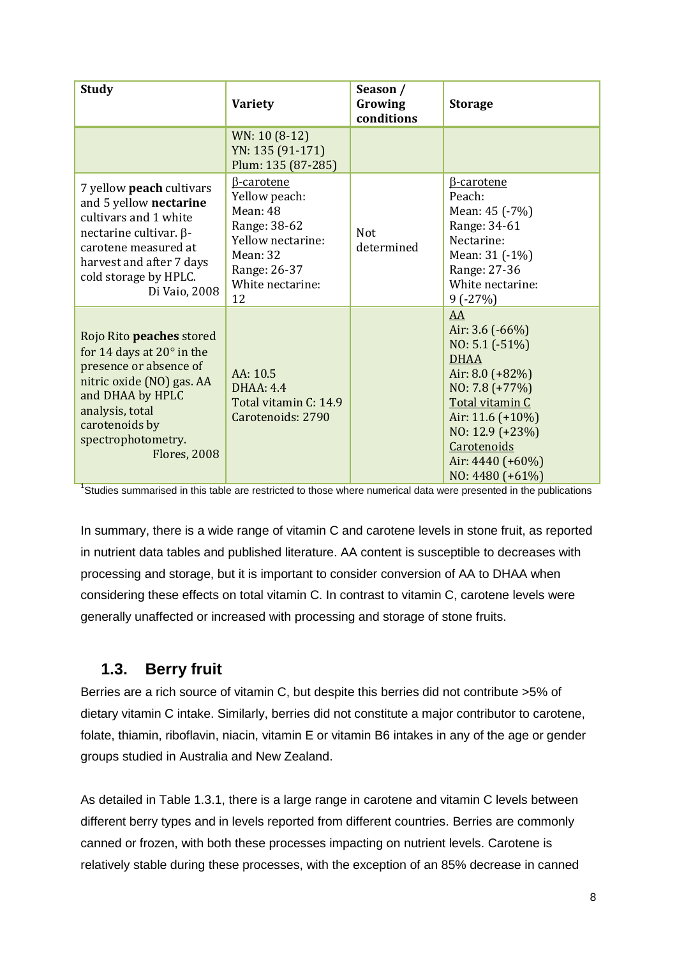| <b>Study</b>                                                                                                                                                                                                                     | <b>Variety</b>                                                                                                                            | Season /<br>Growing<br>conditions | <b>Storage</b>                                                                                                                                                                                                           |
|----------------------------------------------------------------------------------------------------------------------------------------------------------------------------------------------------------------------------------|-------------------------------------------------------------------------------------------------------------------------------------------|-----------------------------------|--------------------------------------------------------------------------------------------------------------------------------------------------------------------------------------------------------------------------|
|                                                                                                                                                                                                                                  | WN: 10 (8-12)<br>YN: 135 (91-171)<br>Plum: 135 (87-285)                                                                                   |                                   |                                                                                                                                                                                                                          |
| 7 yellow peach cultivars<br>and 5 yellow nectarine<br>cultivars and 1 white<br>nectarine cultivar. $\beta$ -<br>carotene measured at<br>harvest and after 7 days<br>cold storage by HPLC.<br>Di Vaio, 2008                       | <b>B-carotene</b><br>Yellow peach:<br>Mean: 48<br>Range: 38-62<br>Yellow nectarine:<br>Mean: 32<br>Range: 26-37<br>White nectarine:<br>12 | <b>Not</b><br>determined          | <b>B-carotene</b><br>Peach:<br>Mean: 45 (-7%)<br>Range: 34-61<br>Nectarine:<br>Mean: 31 (-1%)<br>Range: 27-36<br>White nectarine:<br>$9(-27%)$                                                                           |
| Rojo Rito <b>peaches</b> stored<br>for 14 days at $20^\circ$ in the<br>presence or absence of<br>nitric oxide (NO) gas. AA<br>and DHAA by HPLC<br>analysis, total<br>carotenoids by<br>spectrophotometry.<br><b>Flores, 2008</b> | AA: 10.5<br><b>DHAA: 4.4</b><br>Total vitamin C: 14.9<br>Carotenoids: 2790                                                                |                                   | AA<br>Air: $3.6$ ( $-66\%$ )<br>$NO: 5.1 (-51%)$<br><b>DHAA</b><br>Air: $8.0$ (+82%)<br>NO: 7.8 (+77%)<br>Total vitamin C<br>Air: $11.6$ (+10%)<br>NO: 12.9 (+23%)<br>Carotenoids<br>Air: 4440 (+60%)<br>NO: 4480 (+61%) |

<sup>1</sup>Studies summarised in this table are restricted to those where numerical data were presented in the publications

In summary, there is a wide range of vitamin C and carotene levels in stone fruit, as reported in nutrient data tables and published literature. AA content is susceptible to decreases with processing and storage, but it is important to consider conversion of AA to DHAA when considering these effects on total vitamin C. In contrast to vitamin C, carotene levels were generally unaffected or increased with processing and storage of stone fruits.

#### **1.3. Berry fruit**

Berries are a rich source of vitamin C, but despite this berries did not contribute >5% of dietary vitamin C intake. Similarly, berries did not constitute a major contributor to carotene, folate, thiamin, riboflavin, niacin, vitamin E or vitamin B6 intakes in any of the age or gender groups studied in Australia and New Zealand.

As detailed in Table 1.3.1, there is a large range in carotene and vitamin C levels between different berry types and in levels reported from different countries. Berries are commonly canned or frozen, with both these processes impacting on nutrient levels. Carotene is relatively stable during these processes, with the exception of an 85% decrease in canned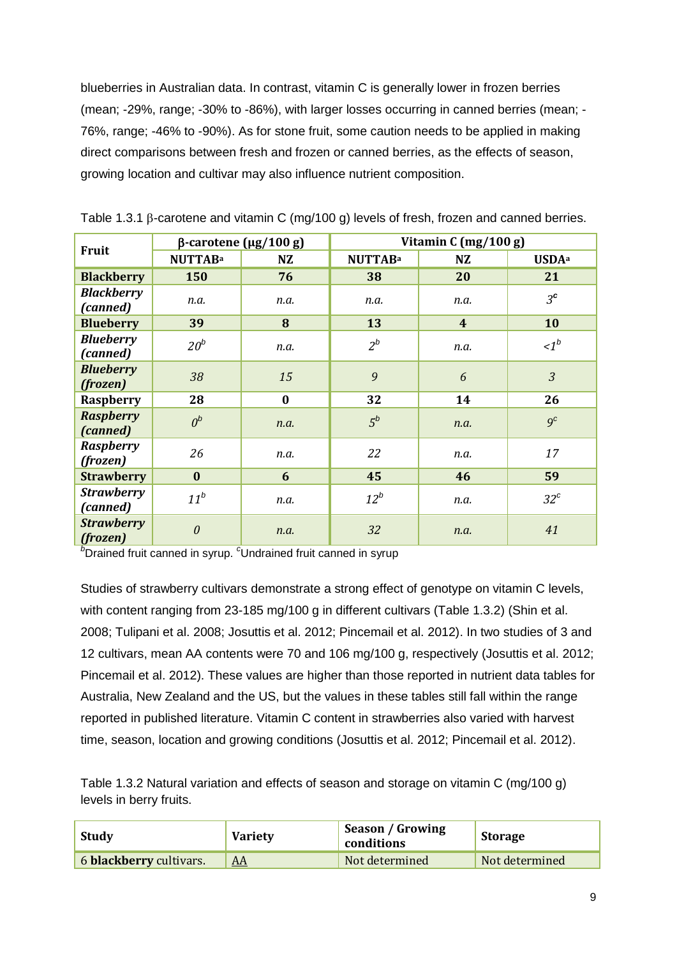blueberries in Australian data. In contrast, vitamin C is generally lower in frozen berries (mean; -29%, range; -30% to -86%), with larger losses occurring in canned berries (mean; - 76%, range; -46% to -90%). As for stone fruit, some caution needs to be applied in making direct comparisons between fresh and frozen or canned berries, as the effects of season, growing location and cultivar may also influence nutrient composition.

|                               | $β$ -carotene (μg/100 g) |          | Vitamin C (mg/100 g) |                         |                          |
|-------------------------------|--------------------------|----------|----------------------|-------------------------|--------------------------|
| <b>Fruit</b>                  | <b>NUTTABa</b>           | NZ       | <b>NUTTABa</b>       | NZ                      | <b>USDA</b> <sup>a</sup> |
| <b>Blackberry</b>             | 150                      | 76       | 38                   | 20                      | 21                       |
| <b>Blackberry</b><br>(canned) | n.a.                     | n.a.     | n.a.                 | n.a.                    | $3^{\mathsf{c}}$         |
| <b>Blueberry</b>              | 39                       | 8        | 13                   | $\overline{\mathbf{4}}$ | 10                       |
| <b>Blueberry</b><br>(canned)  | $20^b$                   | n.a.     | $2^b$                | n.a.                    | $\leq l^b$               |
| <b>Blueberry</b><br>(frozen)  | 38                       | 15       | 9                    | 6                       | $\overline{3}$           |
| Raspberry                     | 28                       | $\bf{0}$ | 32                   | 14                      | 26                       |
| <b>Raspberry</b><br>(canned)  | $0^b$                    | n.a.     | $5^b$                | n.a.                    | 9 <sup>c</sup>           |
| <b>Raspberry</b><br>(frozen)  | 26                       | n.a.     | 22                   | n.a.                    | 17                       |
| <b>Strawberry</b>             | $\bf{0}$                 | 6        | 45                   | 46                      | 59                       |
| <b>Strawberry</b><br>(canned) | $11^b$                   | n.a.     | $12^b$               | n.a.                    | $32^c$                   |
| <b>Strawberry</b><br>(frozen) | $\theta$                 | n.a.     | 32                   | n.a.                    | 41                       |

Table 1.3.1  $\beta$ -carotene and vitamin C (mg/100 g) levels of fresh, frozen and canned berries.

*b*Drained fruit canned in syrup. <sup>c</sup>Undrained fruit canned in syrup

Studies of strawberry cultivars demonstrate a strong effect of genotype on vitamin C levels, with content ranging from 23-185 mg/100 g in different cultivars (Table 1.3.2) (Shin et al. 2008; Tulipani et al. 2008; Josuttis et al. 2012; Pincemail et al. 2012). In two studies of 3 and 12 cultivars, mean AA contents were 70 and 106 mg/100 g, respectively (Josuttis et al. 2012; Pincemail et al. 2012). These values are higher than those reported in nutrient data tables for Australia, New Zealand and the US, but the values in these tables still fall within the range reported in published literature. Vitamin C content in strawberries also varied with harvest time, season, location and growing conditions (Josuttis et al. 2012; Pincemail et al. 2012).

Table 1.3.2 Natural variation and effects of season and storage on vitamin C (mg/100 g) levels in berry fruits.

| <b>Variety</b><br>, Study |                  | Season / Growing<br>conditions | Storage        |  |
|---------------------------|------------------|--------------------------------|----------------|--|
| 6 blackberry cultivars.   | $\underline{AA}$ | Not determined                 | Not determined |  |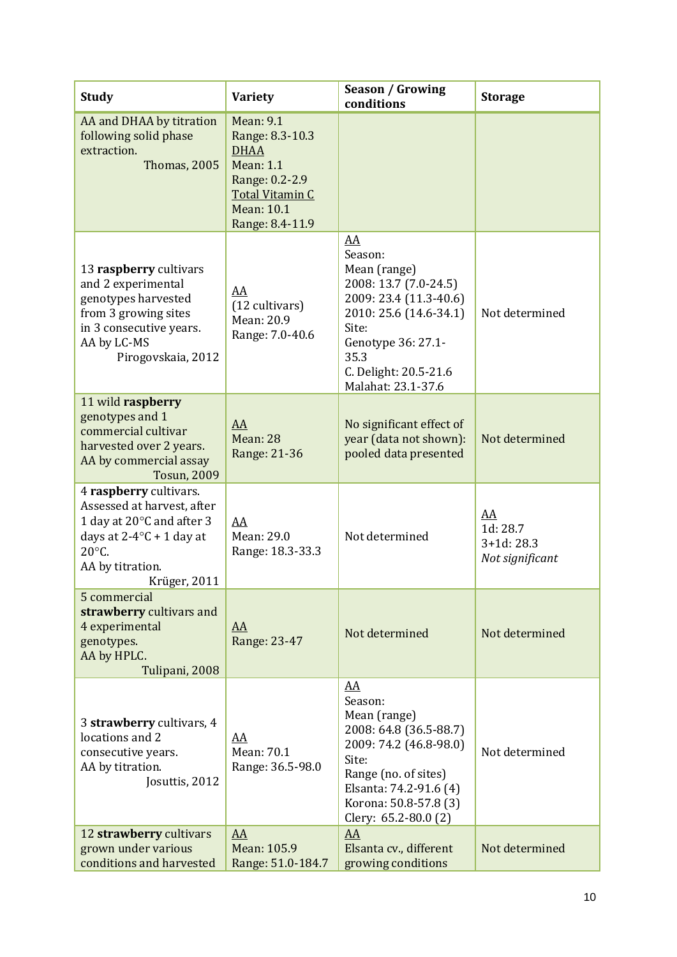| <b>Study</b>                                                                                                                                                            | <b>Variety</b>                                                                                                                                      | <b>Season / Growing</b><br>conditions                                                                                                                                                                | <b>Storage</b>                                   |
|-------------------------------------------------------------------------------------------------------------------------------------------------------------------------|-----------------------------------------------------------------------------------------------------------------------------------------------------|------------------------------------------------------------------------------------------------------------------------------------------------------------------------------------------------------|--------------------------------------------------|
| AA and DHAA by titration<br>following solid phase<br>extraction.<br><b>Thomas, 2005</b>                                                                                 | <b>Mean: 9.1</b><br>Range: 8.3-10.3<br><b>DHAA</b><br><b>Mean: 1.1</b><br>Range: 0.2-2.9<br><b>Total Vitamin C</b><br>Mean: 10.1<br>Range: 8.4-11.9 |                                                                                                                                                                                                      |                                                  |
| 13 raspberry cultivars<br>and 2 experimental<br>genotypes harvested<br>from 3 growing sites<br>in 3 consecutive years.<br>AA by LC-MS<br>Pirogovskaia, 2012             | AA<br>(12 cultivars)<br>Mean: 20.9<br>Range: 7.0-40.6                                                                                               | AA<br>Season:<br>Mean (range)<br>2008: 13.7 (7.0-24.5)<br>2009: 23.4 (11.3-40.6)<br>2010: 25.6 (14.6-34.1)<br>Site:<br>Genotype 36: 27.1-<br>35.3<br>C. Delight: 20.5-21.6<br>Malahat: 23.1-37.6     | Not determined                                   |
| 11 wild raspberry<br>genotypes and 1<br>commercial cultivar<br>harvested over 2 years.<br>AA by commercial assay<br><b>Tosun, 2009</b>                                  | AA<br>Mean: 28<br>Range: 21-36                                                                                                                      | No significant effect of<br>year (data not shown):<br>pooled data presented                                                                                                                          | Not determined                                   |
| 4 raspberry cultivars.<br>Assessed at harvest, after<br>1 day at 20°C and after 3<br>days at $2-4$ °C + 1 day at<br>$20^{\circ}$ C.<br>AA by titration.<br>Krüger, 2011 | AA<br>Mean: 29.0<br>Range: 18.3-33.3                                                                                                                | Not determined                                                                                                                                                                                       | AA<br>1d: 28.7<br>$3+1d:28.3$<br>Not significant |
| 5 commercial<br>strawberry cultivars and<br>4 experimental<br>genotypes.<br>AA by HPLC.<br>Tulipani, 2008                                                               | AA<br>Range: 23-47                                                                                                                                  | Not determined                                                                                                                                                                                       | Not determined                                   |
| 3 strawberry cultivars, 4<br>locations and 2<br>consecutive years.<br>AA by titration.<br>Josuttis, 2012                                                                | <u>AA</u><br>Mean: 70.1<br>Range: 36.5-98.0                                                                                                         | <u>AA</u><br>Season:<br>Mean (range)<br>2008: 64.8 (36.5-88.7)<br>2009: 74.2 (46.8-98.0)<br>Site:<br>Range (no. of sites)<br>Elsanta: 74.2-91.6 (4)<br>Korona: 50.8-57.8 (3)<br>Clery: 65.2-80.0 (2) | Not determined                                   |
| 12 strawberry cultivars<br>grown under various<br>conditions and harvested                                                                                              | AA<br>Mean: 105.9<br>Range: 51.0-184.7                                                                                                              | AA<br>Elsanta cv., different<br>growing conditions                                                                                                                                                   | Not determined                                   |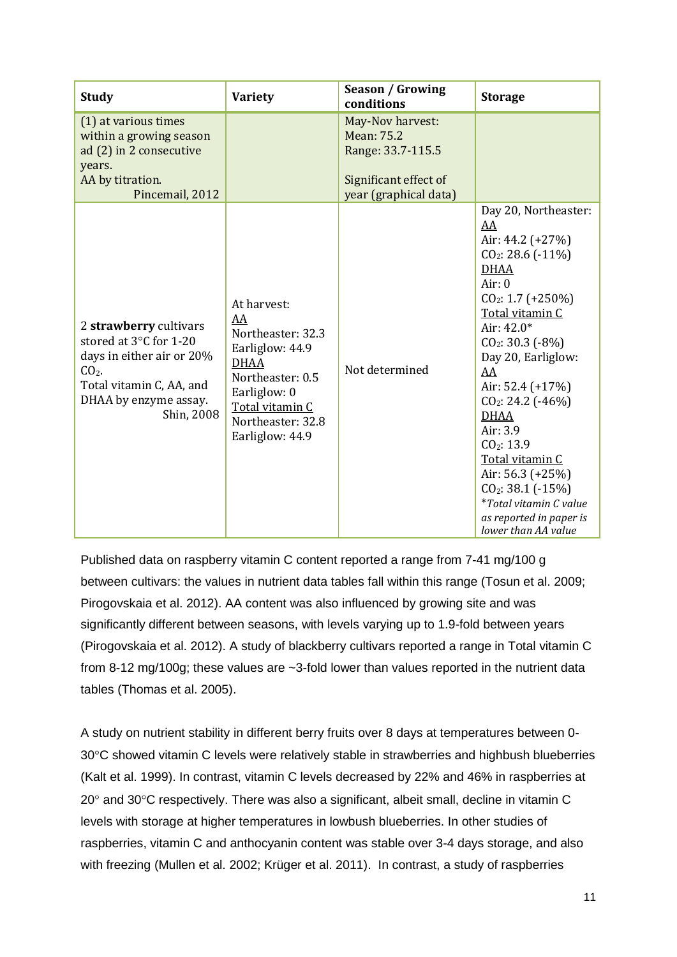| <b>Study</b>                                                                                                                                                | <b>Variety</b>                                                                                                                                                          | <b>Season / Growing</b><br>conditions                                                                        | <b>Storage</b>                                                                                                                                                                                                                                                                                                                                                                                                                                             |
|-------------------------------------------------------------------------------------------------------------------------------------------------------------|-------------------------------------------------------------------------------------------------------------------------------------------------------------------------|--------------------------------------------------------------------------------------------------------------|------------------------------------------------------------------------------------------------------------------------------------------------------------------------------------------------------------------------------------------------------------------------------------------------------------------------------------------------------------------------------------------------------------------------------------------------------------|
| (1) at various times<br>within a growing season<br>ad (2) in 2 consecutive<br>years.<br>AA by titration.<br>Pincemail, 2012                                 |                                                                                                                                                                         | May-Nov harvest:<br><b>Mean: 75.2</b><br>Range: 33.7-115.5<br>Significant effect of<br>year (graphical data) |                                                                                                                                                                                                                                                                                                                                                                                                                                                            |
| 2 strawberry cultivars<br>stored at 3°C for 1-20<br>days in either air or 20%<br>$CO2$ .<br>Total vitamin C, AA, and<br>DHAA by enzyme assay.<br>Shin, 2008 | At harvest:<br>AA<br>Northeaster: 32.3<br>Earliglow: 44.9<br><b>DHAA</b><br>Northeaster: 0.5<br>Earliglow: 0<br>Total vitamin C<br>Northeaster: 32.8<br>Earliglow: 44.9 | Not determined                                                                                               | Day 20, Northeaster:<br>AA<br>Air: 44.2 (+27%)<br>$CO2: 28.6$ (-11%)<br><b>DHAA</b><br>Air: $0$<br>$CO2: 1.7 (+250%)$<br>Total vitamin C<br>Air: $42.0*$<br>$CO2: 30.3 (-8%)$<br>Day 20, Earliglow:<br>AA<br>Air: $52.4$ (+17%)<br>$CO2: 24.2$ (-46%)<br><b>DHAA</b><br>Air: 3.9<br>CO <sub>2</sub> : 13.9<br>Total vitamin C<br>Air: 56.3 (+25%)<br>$CO2: 38.1 (-15%)$<br><i>*Total vitamin C value</i><br>as reported in paper is<br>lower than AA value |

Published data on raspberry vitamin C content reported a range from 7-41 mg/100 g between cultivars: the values in nutrient data tables fall within this range (Tosun et al. 2009; Pirogovskaia et al. 2012). AA content was also influenced by growing site and was significantly different between seasons, with levels varying up to 1.9-fold between years (Pirogovskaia et al. 2012). A study of blackberry cultivars reported a range in Total vitamin C from 8-12 mg/100g; these values are ~3-fold lower than values reported in the nutrient data tables (Thomas et al. 2005).

A study on nutrient stability in different berry fruits over 8 days at temperatures between 0- 30°C showed vitamin C levels were relatively stable in strawberries and highbush blueberries (Kalt et al. 1999). In contrast, vitamin C levels decreased by 22% and 46% in raspberries at 20° and 30°C respectively. There was also a significant, albeit small, decline in vitamin C levels with storage at higher temperatures in lowbush blueberries. In other studies of raspberries, vitamin C and anthocyanin content was stable over 3-4 days storage, and also with freezing (Mullen et al. 2002; Krüger et al. 2011). In contrast, a study of raspberries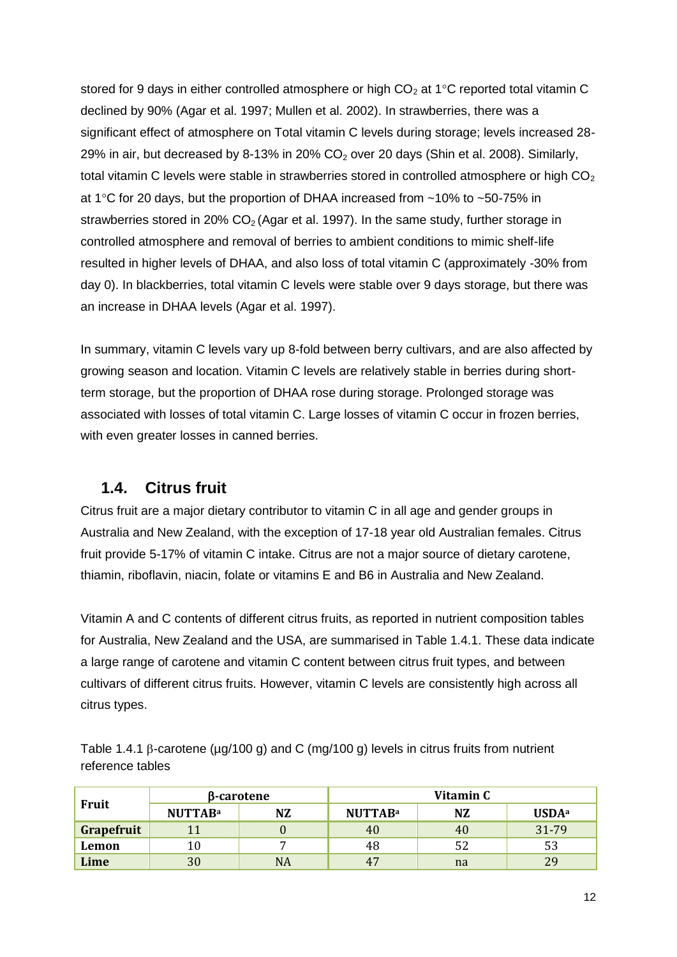stored for 9 days in either controlled atmosphere or high  $CO<sub>2</sub>$  at 1<sup>o</sup>C reported total vitamin C declined by 90% (Agar et al. 1997; Mullen et al. 2002). In strawberries, there was a significant effect of atmosphere on Total vitamin C levels during storage; levels increased 28- 29% in air, but decreased by 8-13% in 20%  $CO<sub>2</sub>$  over 20 days (Shin et al. 2008). Similarly, total vitamin C levels were stable in strawberries stored in controlled atmosphere or high  $CO<sub>2</sub>$ at 1 $\degree$ C for 20 days, but the proportion of DHAA increased from  $\sim$ 10% to  $\sim$ 50-75% in strawberries stored in 20%  $CO<sub>2</sub>$  (Agar et al. 1997). In the same study, further storage in controlled atmosphere and removal of berries to ambient conditions to mimic shelf-life resulted in higher levels of DHAA, and also loss of total vitamin C (approximately -30% from day 0). In blackberries, total vitamin C levels were stable over 9 days storage, but there was an increase in DHAA levels (Agar et al. 1997).

In summary, vitamin C levels vary up 8-fold between berry cultivars, and are also affected by growing season and location. Vitamin C levels are relatively stable in berries during shortterm storage, but the proportion of DHAA rose during storage. Prolonged storage was associated with losses of total vitamin C. Large losses of vitamin C occur in frozen berries, with even greater losses in canned berries.

#### **1.4. Citrus fruit**

Citrus fruit are a major dietary contributor to vitamin C in all age and gender groups in Australia and New Zealand, with the exception of 17-18 year old Australian females. Citrus fruit provide 5-17% of vitamin C intake. Citrus are not a major source of dietary carotene, thiamin, riboflavin, niacin, folate or vitamins E and B6 in Australia and New Zealand.

Vitamin A and C contents of different citrus fruits, as reported in nutrient composition tables for Australia, New Zealand and the USA, are summarised in Table 1.4.1. These data indicate a large range of carotene and vitamin C content between citrus fruit types, and between cultivars of different citrus fruits. However, vitamin C levels are consistently high across all citrus types.

Table 1.4.1  $\beta$ -carotene ( $\mu$ g/100 g) and C (mg/100 g) levels in citrus fruits from nutrient reference tables

| Fruit      | β-carotene     |    | Vitamin C      |    |                          |
|------------|----------------|----|----------------|----|--------------------------|
|            | <b>NUTTABa</b> | NZ | <b>NUTTABa</b> | NZ | <b>USDA</b> <sup>a</sup> |
| Grapefruit |                |    | 40             | 40 | 31-79                    |
| Lemon      |                |    | 48             |    | 53                       |
| Lime       | 30             | NA | 47             | na | 29                       |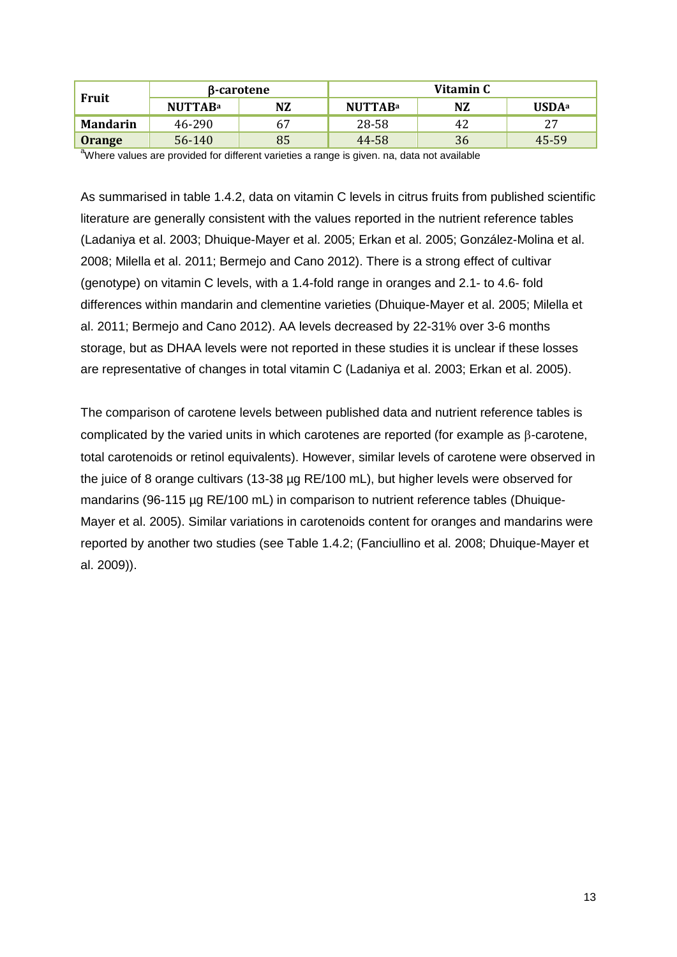| <b>Fruit</b>    | β-carotene     |    | Vitamin C      |    |                          |
|-----------------|----------------|----|----------------|----|--------------------------|
|                 | <b>NUTTABa</b> | NZ | <b>NUTTABa</b> | NZ | <b>USDA</b> <sup>a</sup> |
| <b>Mandarin</b> | 46-290         | 67 | 28-58          | 42 | 27                       |
| <b>Orange</b>   | 56-140         | 85 | 44-58          | 36 | 45-59                    |

<sup>a</sup>Where values are provided for different varieties a range is given. na, data not available

As summarised in table 1.4.2, data on vitamin C levels in citrus fruits from published scientific literature are generally consistent with the values reported in the nutrient reference tables (Ladaniya et al. 2003; Dhuique-Mayer et al. 2005; Erkan et al. 2005; González-Molina et al. 2008; Milella et al. 2011; Bermejo and Cano 2012). There is a strong effect of cultivar (genotype) on vitamin C levels, with a 1.4-fold range in oranges and 2.1- to 4.6- fold differences within mandarin and clementine varieties (Dhuique-Mayer et al. 2005; Milella et al. 2011; Bermejo and Cano 2012). AA levels decreased by 22-31% over 3-6 months storage, but as DHAA levels were not reported in these studies it is unclear if these losses are representative of changes in total vitamin C (Ladaniya et al. 2003; Erkan et al. 2005).

The comparison of carotene levels between published data and nutrient reference tables is complicated by the varied units in which carotenes are reported (for example as  $\beta$ -carotene, total carotenoids or retinol equivalents). However, similar levels of carotene were observed in the juice of 8 orange cultivars (13-38 µg RE/100 mL), but higher levels were observed for mandarins (96-115 µg RE/100 mL) in comparison to nutrient reference tables (Dhuique-Mayer et al. 2005). Similar variations in carotenoids content for oranges and mandarins were reported by another two studies (see Table 1.4.2; (Fanciullino et al. 2008; Dhuique-Mayer et al. 2009)).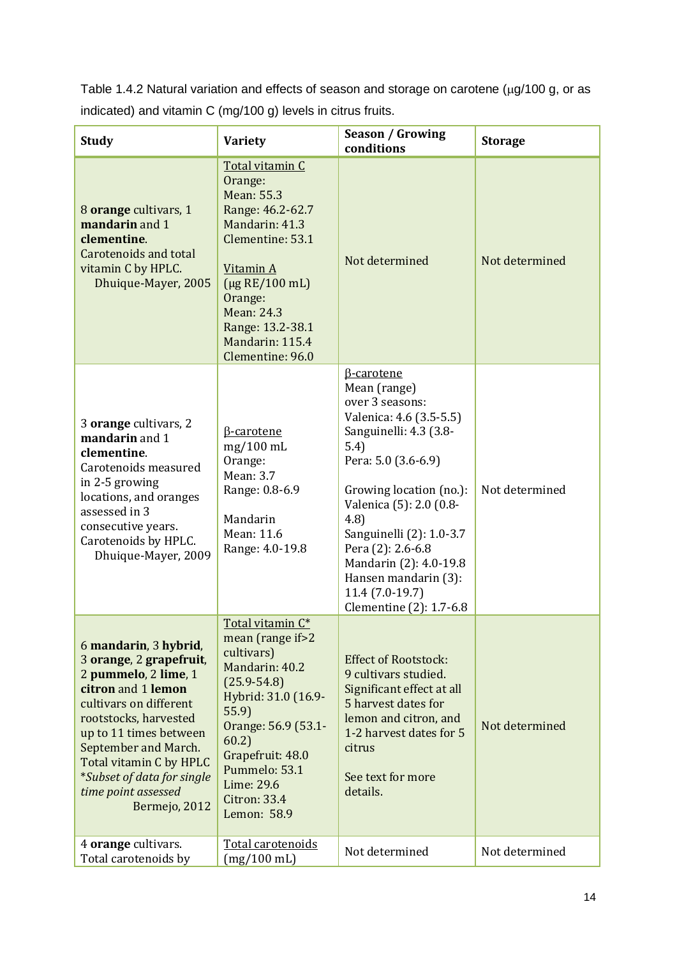Table 1.4.2 Natural variation and effects of season and storage on carotene ( $\mu$ g/100 g, or as indicated) and vitamin C (mg/100 g) levels in citrus fruits.

| <b>Study</b>                                                                                                                                                                                                                                                                                         | <b>Variety</b>                                                                                                                                                                                                                                    | <b>Season / Growing</b><br>conditions                                                                                                                                                                                                                                                                                                             | <b>Storage</b> |
|------------------------------------------------------------------------------------------------------------------------------------------------------------------------------------------------------------------------------------------------------------------------------------------------------|---------------------------------------------------------------------------------------------------------------------------------------------------------------------------------------------------------------------------------------------------|---------------------------------------------------------------------------------------------------------------------------------------------------------------------------------------------------------------------------------------------------------------------------------------------------------------------------------------------------|----------------|
| 8 orange cultivars, 1<br>mandarin and 1<br>clementine.<br>Carotenoids and total<br>vitamin C by HPLC.<br>Dhuique-Mayer, 2005                                                                                                                                                                         | Total vitamin C<br>Orange:<br>Mean: 55.3<br>Range: 46.2-62.7<br>Mandarin: 41.3<br>Clementine: 53.1<br>Vitamin A<br>$(\mu$ g RE/100 mL)<br>Orange:<br>Mean: 24.3<br>Range: 13.2-38.1<br>Mandarin: 115.4<br>Clementine: 96.0                        | Not determined                                                                                                                                                                                                                                                                                                                                    | Not determined |
| 3 orange cultivars, 2<br>mandarin and 1<br>clementine.<br>Carotenoids measured<br>in 2-5 growing<br>locations, and oranges<br>assessed in 3<br>consecutive years.<br>Carotenoids by HPLC.<br>Dhuique-Mayer, 2009                                                                                     | <b>B-carotene</b><br>$mg/100$ mL<br>Orange:<br>Mean: 3.7<br>Range: 0.8-6.9<br>Mandarin<br>Mean: 11.6<br>Range: 4.0-19.8                                                                                                                           | β-carotene<br>Mean (range)<br>over 3 seasons:<br>Valenica: 4.6 (3.5-5.5)<br>Sanguinelli: 4.3 (3.8-<br>5.4)<br>Pera: 5.0 (3.6-6.9)<br>Growing location (no.):<br>Valenica (5): 2.0 (0.8-<br>(4.8)<br>Sanguinelli (2): 1.0-3.7<br>Pera (2): 2.6-6.8<br>Mandarin (2): 4.0-19.8<br>Hansen mandarin (3):<br>11.4 (7.0-19.7)<br>Clementine (2): 1.7-6.8 | Not determined |
| 6 mandarin, 3 hybrid,<br>3 orange, 2 grapefruit,<br>2 pummelo, 2 lime, 1<br>citron and 1 lemon<br>cultivars on different<br>rootstocks, harvested<br>up to 11 times between<br>September and March.<br>Total vitamin C by HPLC<br>*Subset of data for single<br>time point assessed<br>Bermejo, 2012 | Total vitamin C*<br>mean (range if > 2<br>cultivars)<br>Mandarin: 40.2<br>$(25.9 - 54.8)$<br>Hybrid: 31.0 (16.9-<br>55.9<br>Orange: 56.9 (53.1-<br>60.2)<br>Grapefruit: 48.0<br>Pummelo: 53.1<br>Lime: 29.6<br><b>Citron: 33.4</b><br>Lemon: 58.9 | <b>Effect of Rootstock:</b><br>9 cultivars studied.<br>Significant effect at all<br>5 harvest dates for<br>lemon and citron, and<br>1-2 harvest dates for 5<br>citrus<br>See text for more<br>details.                                                                                                                                            | Not determined |
| 4 orange cultivars.<br>Total carotenoids by                                                                                                                                                                                                                                                          | Total carotenoids<br>$(mg/100 \text{ mL})$                                                                                                                                                                                                        | Not determined                                                                                                                                                                                                                                                                                                                                    | Not determined |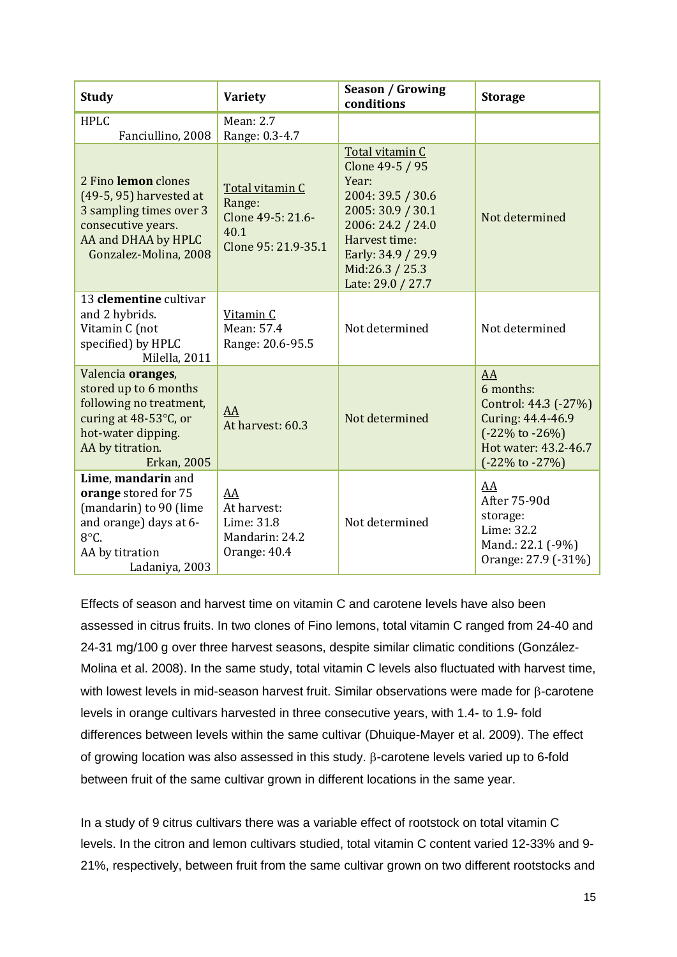| <b>Study</b>                                                                                                                                                   | <b>Variety</b>                                                                | <b>Season / Growing</b><br>conditions                                                                                                                                                     | <b>Storage</b>                                                                                                                                     |
|----------------------------------------------------------------------------------------------------------------------------------------------------------------|-------------------------------------------------------------------------------|-------------------------------------------------------------------------------------------------------------------------------------------------------------------------------------------|----------------------------------------------------------------------------------------------------------------------------------------------------|
| <b>HPLC</b><br>Fanciullino, 2008                                                                                                                               | <b>Mean: 2.7</b><br>Range: 0.3-4.7                                            |                                                                                                                                                                                           |                                                                                                                                                    |
| 2 Fino lemon clones<br>(49-5, 95) harvested at<br>3 sampling times over 3<br>consecutive years.<br>AA and DHAA by HPLC<br>Gonzalez-Molina, 2008                | Total vitamin C<br>Range:<br>Clone 49-5: 21.6-<br>40.1<br>Clone 95: 21.9-35.1 | Total vitamin C<br>Clone 49-5 / 95<br>Year:<br>2004: 39.5 / 30.6<br>2005: 30.9 / 30.1<br>2006: 24.2 / 24.0<br>Harvest time:<br>Early: 34.9 / 29.9<br>Mid:26.3 / 25.3<br>Late: 29.0 / 27.7 | Not determined                                                                                                                                     |
| 13 clementine cultivar<br>and 2 hybrids.<br>Vitamin C (not<br>specified) by HPLC<br>Milella, 2011                                                              | Vitamin C<br>Mean: 57.4<br>Range: 20.6-95.5                                   | Not determined                                                                                                                                                                            | Not determined                                                                                                                                     |
| Valencia oranges,<br>stored up to 6 months<br>following no treatment,<br>curing at 48-53°C, or<br>hot-water dipping.<br>AA by titration.<br><b>Erkan, 2005</b> | AA<br>At harvest: 60.3                                                        | Not determined                                                                                                                                                                            | AA<br>6 months:<br>Control: 44.3 (-27%)<br>Curing: 44.4-46.9<br>$(-22\% \text{ to } -26\%)$<br>Hot water: 43.2-46.7<br>$(-22\% \text{ to } -27\%)$ |
| Lime, mandarin and<br>orange stored for 75<br>(mandarin) to 90 (lime<br>and orange) days at 6-<br>8°C.<br>AA by titration<br>Ladaniya, 2003                    | AA<br>At harvest:<br>Lime: 31.8<br>Mandarin: 24.2<br>Orange: 40.4             | Not determined                                                                                                                                                                            | AA<br>After 75-90d<br>storage:<br>Lime: 32.2<br>Mand.: 22.1 (-9%)<br>Orange: 27.9 (-31%)                                                           |

Effects of season and harvest time on vitamin C and carotene levels have also been assessed in citrus fruits. In two clones of Fino lemons, total vitamin C ranged from 24-40 and 24-31 mg/100 g over three harvest seasons, despite similar climatic conditions (González-Molina et al. 2008). In the same study, total vitamin C levels also fluctuated with harvest time, with lowest levels in mid-season harvest fruit. Similar observations were made for B-carotene levels in orange cultivars harvested in three consecutive years, with 1.4- to 1.9- fold differences between levels within the same cultivar (Dhuique-Mayer et al. 2009). The effect of growing location was also assessed in this study.  $\beta$ -carotene levels varied up to 6-fold between fruit of the same cultivar grown in different locations in the same year.

In a study of 9 citrus cultivars there was a variable effect of rootstock on total vitamin C levels. In the citron and lemon cultivars studied, total vitamin C content varied 12-33% and 9- 21%, respectively, between fruit from the same cultivar grown on two different rootstocks and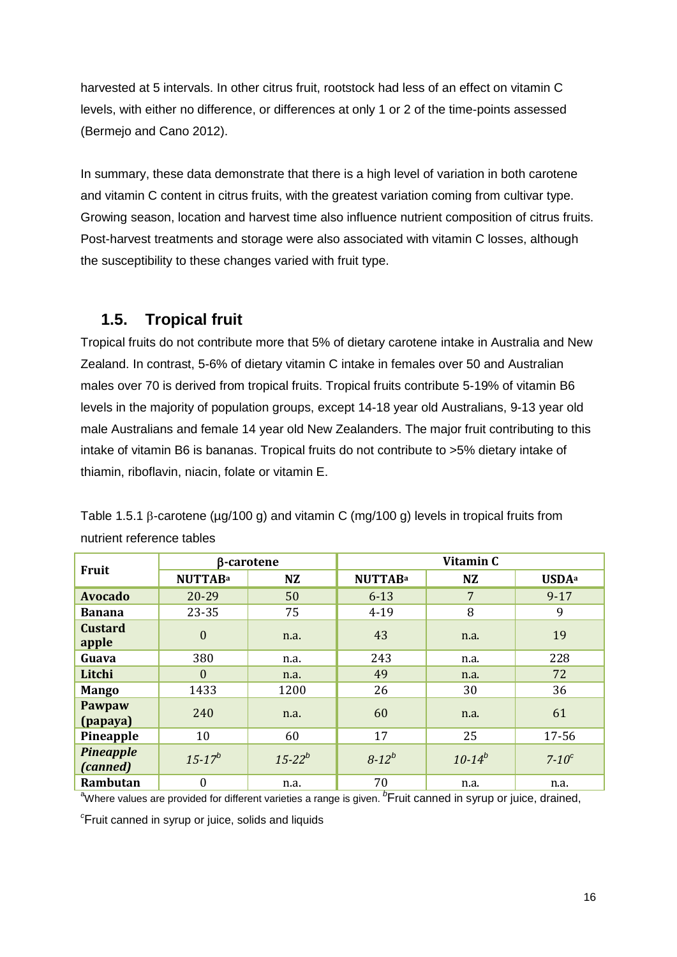harvested at 5 intervals. In other citrus fruit, rootstock had less of an effect on vitamin C levels, with either no difference, or differences at only 1 or 2 of the time-points assessed (Bermejo and Cano 2012).

In summary, these data demonstrate that there is a high level of variation in both carotene and vitamin C content in citrus fruits, with the greatest variation coming from cultivar type. Growing season, location and harvest time also influence nutrient composition of citrus fruits. Post-harvest treatments and storage were also associated with vitamin C losses, although the susceptibility to these changes varied with fruit type.

#### **1.5. Tropical fruit**

Tropical fruits do not contribute more that 5% of dietary carotene intake in Australia and New Zealand. In contrast, 5-6% of dietary vitamin C intake in females over 50 and Australian males over 70 is derived from tropical fruits. Tropical fruits contribute 5-19% of vitamin B6 levels in the majority of population groups, except 14-18 year old Australians, 9-13 year old male Australians and female 14 year old New Zealanders. The major fruit contributing to this intake of vitamin B6 is bananas. Tropical fruits do not contribute to >5% dietary intake of thiamin, riboflavin, niacin, folate or vitamin E.

| Fruit                        |                  | β-carotene    | Vitamin C      |                |                          |
|------------------------------|------------------|---------------|----------------|----------------|--------------------------|
|                              | <b>NUTTABa</b>   | <b>NZ</b>     | <b>NUTTABa</b> | <b>NZ</b>      | <b>USDA</b> <sup>a</sup> |
| <b>Avocado</b>               | 20-29            | 50            | $6 - 13$       | $\overline{7}$ | $9 - 17$                 |
| <b>Banana</b>                | 23-35            | 75            | $4 - 19$       | 8              | 9                        |
| <b>Custard</b><br>apple      | $\boldsymbol{0}$ | n.a.          | 43             | n.a.           | 19                       |
| Guava                        | 380              | n.a.          | 243            | n.a.           | 228                      |
| Litchi                       | $\Omega$         | n.a.          | 49             | n.a.           | 72                       |
| <b>Mango</b>                 | 1433             | 1200          | 26             | 30             | 36                       |
| Pawpaw<br>(papaya)           | 240              | n.a.          | 60             | n.a.           | 61                       |
| Pineapple                    | 10               | 60            | 17             | 25             | 17-56                    |
| <b>Pineapple</b><br>(canned) | $15 - 17^{b}$    | $15 - 22^{b}$ | $8 - 12^{b}$   | $10 - 14^{b}$  | $7-10$ <sup>c</sup>      |
| Rambutan                     | $\boldsymbol{0}$ | n.a.          | 70             | n.a.           | n.a.                     |

Table 1.5.1  $\beta$ -carotene ( $\mu q/100 q$ ) and vitamin C (mg/100 g) levels in tropical fruits from nutrient reference tables

<sup>a</sup>Where values are provided for different varieties a range is given. <sup>b</sup>Fruit canned in syrup or juice, drained,

*<sup>c</sup>*Fruit canned in syrup or juice, solids and liquids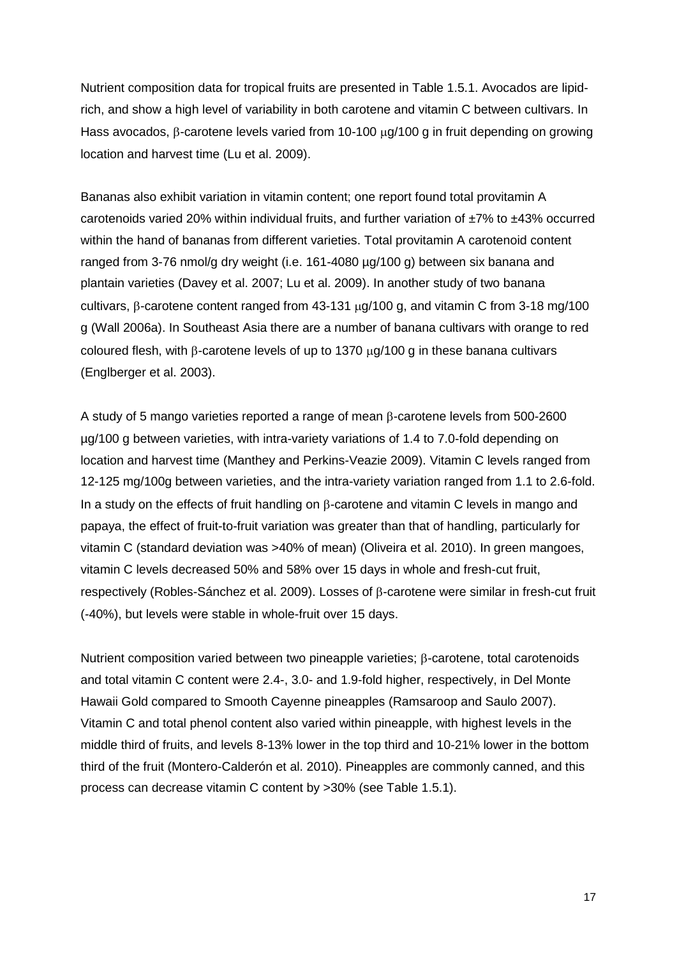Nutrient composition data for tropical fruits are presented in Table 1.5.1. Avocados are lipidrich, and show a high level of variability in both carotene and vitamin C between cultivars. In Hass avocados,  $\beta$ -carotene levels varied from 10-100  $\mu$ g/100 g in fruit depending on growing location and harvest time (Lu et al. 2009).

Bananas also exhibit variation in vitamin content; one report found total provitamin A carotenoids varied 20% within individual fruits, and further variation of  $\pm 7$ % to  $\pm 43$ % occurred within the hand of bananas from different varieties. Total provitamin A carotenoid content ranged from 3-76 nmol/g dry weight (i.e. 161-4080 µg/100 g) between six banana and plantain varieties (Davey et al. 2007; Lu et al. 2009). In another study of two banana cultivars,  $\beta$ -carotene content ranged from 43-131  $\mu$ g/100 g, and vitamin C from 3-18 mg/100 g (Wall 2006a). In Southeast Asia there are a number of banana cultivars with orange to red coloured flesh, with  $\beta$ -carotene levels of up to 1370  $\mu$ g/100 g in these banana cultivars (Englberger et al. 2003).

A study of 5 mango varieties reported a range of mean  $\beta$ -carotene levels from 500-2600 µg/100 g between varieties, with intra-variety variations of 1.4 to 7.0-fold depending on location and harvest time (Manthey and Perkins-Veazie 2009). Vitamin C levels ranged from 12-125 mg/100g between varieties, and the intra-variety variation ranged from 1.1 to 2.6-fold. In a study on the effects of fruit handling on  $\beta$ -carotene and vitamin C levels in mango and papaya, the effect of fruit-to-fruit variation was greater than that of handling, particularly for vitamin C (standard deviation was >40% of mean) (Oliveira et al. 2010). In green mangoes, vitamin C levels decreased 50% and 58% over 15 days in whole and fresh-cut fruit, respectively (Robles-Sánchez et al. 2009). Losses of  $\beta$ -carotene were similar in fresh-cut fruit (-40%), but levels were stable in whole-fruit over 15 days.

Nutrient composition varied between two pineapple varieties; B-carotene, total carotenoids and total vitamin C content were 2.4-, 3.0- and 1.9-fold higher, respectively, in Del Monte Hawaii Gold compared to Smooth Cayenne pineapples (Ramsaroop and Saulo 2007). Vitamin C and total phenol content also varied within pineapple, with highest levels in the middle third of fruits, and levels 8-13% lower in the top third and 10-21% lower in the bottom third of the fruit (Montero-Calderón et al. 2010). Pineapples are commonly canned, and this process can decrease vitamin C content by >30% (see Table 1.5.1).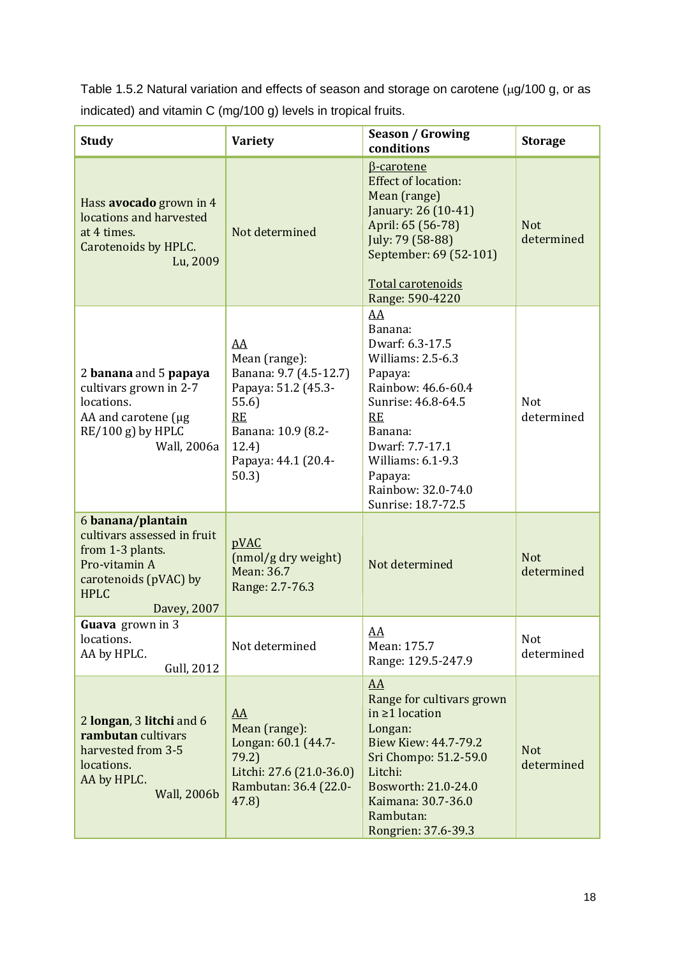Table 1.5.2 Natural variation and effects of season and storage on carotene ( $\mu$ g/100 g, or as indicated) and vitamin C (mg/100 g) levels in tropical fruits.

| <b>Study</b>                                                                                                                                 | <b>Variety</b>                                                                                                                                            | <b>Season / Growing</b><br>conditions                                                                                                                                                                                        | <b>Storage</b>           |
|----------------------------------------------------------------------------------------------------------------------------------------------|-----------------------------------------------------------------------------------------------------------------------------------------------------------|------------------------------------------------------------------------------------------------------------------------------------------------------------------------------------------------------------------------------|--------------------------|
| Hass avocado grown in 4<br>locations and harvested<br>at 4 times.<br>Carotenoids by HPLC.<br>Lu, 2009                                        | Not determined                                                                                                                                            | <b>B-carotene</b><br><b>Effect of location:</b><br>Mean (range)<br>January: 26 (10-41)<br>April: 65 (56-78)<br>July: 79 (58-88)<br>September: 69 (52-101)<br>Total carotenoids<br>Range: 590-4220                            | <b>Not</b><br>determined |
| 2 banana and 5 papaya<br>cultivars grown in 2-7<br>locations.<br>AA and carotene (µg<br>$RE/100 g$ ) by HPLC<br>Wall, 2006a                  | <u>AA</u><br>Mean (range):<br>Banana: 9.7 (4.5-12.7)<br>Papaya: 51.2 (45.3-<br>55.6)<br>RE<br>Banana: 10.9 (8.2-<br>12.4)<br>Papaya: 44.1 (20.4-<br>50.3) | AA<br>Banana:<br>Dwarf: 6.3-17.5<br>Williams: 2.5-6.3<br>Papaya:<br>Rainbow: 46.6-60.4<br>Sunrise: 46.8-64.5<br>RE<br>Banana:<br>Dwarf: 7.7-17.1<br>Williams: 6.1-9.3<br>Papaya:<br>Rainbow: 32.0-74.0<br>Sunrise: 18.7-72.5 | <b>Not</b><br>determined |
| 6 banana/plantain<br>cultivars assessed in fruit<br>from 1-3 plants.<br>Pro-vitamin A<br>carotenoids (pVAC) by<br><b>HPLC</b><br>Davey, 2007 | pVAC<br>(nmol/g dry weight)<br>Mean: 36.7<br>Range: 2.7-76.3                                                                                              | Not determined                                                                                                                                                                                                               | <b>Not</b><br>determined |
| <b>Guava</b> grown in 3<br>locations.<br>AA by HPLC.<br>Gull, 2012                                                                           | Not determined                                                                                                                                            | AA<br>Mean: 175.7<br>Range: 129.5-247.9                                                                                                                                                                                      | Not<br>determined        |
| 2 longan, 3 litchi and 6<br>rambutan cultivars<br>harvested from 3-5<br>locations.<br>AA by HPLC.<br><b>Wall, 2006b</b>                      | $\underline{AA}$<br>Mean (range):<br>Longan: 60.1 (44.7-<br>79.2)<br>Litchi: 27.6 (21.0-36.0)<br>Rambutan: 36.4 (22.0-<br>47.8)                           | $\overline{AA}$<br>Range for cultivars grown<br>in $\geq 1$ location<br>Longan:<br>Biew Kiew: 44.7-79.2<br>Sri Chompo: 51.2-59.0<br>Litchi:<br>Bosworth: 21.0-24.0<br>Kaimana: 30.7-36.0<br>Rambutan:<br>Rongrien: 37.6-39.3 | <b>Not</b><br>determined |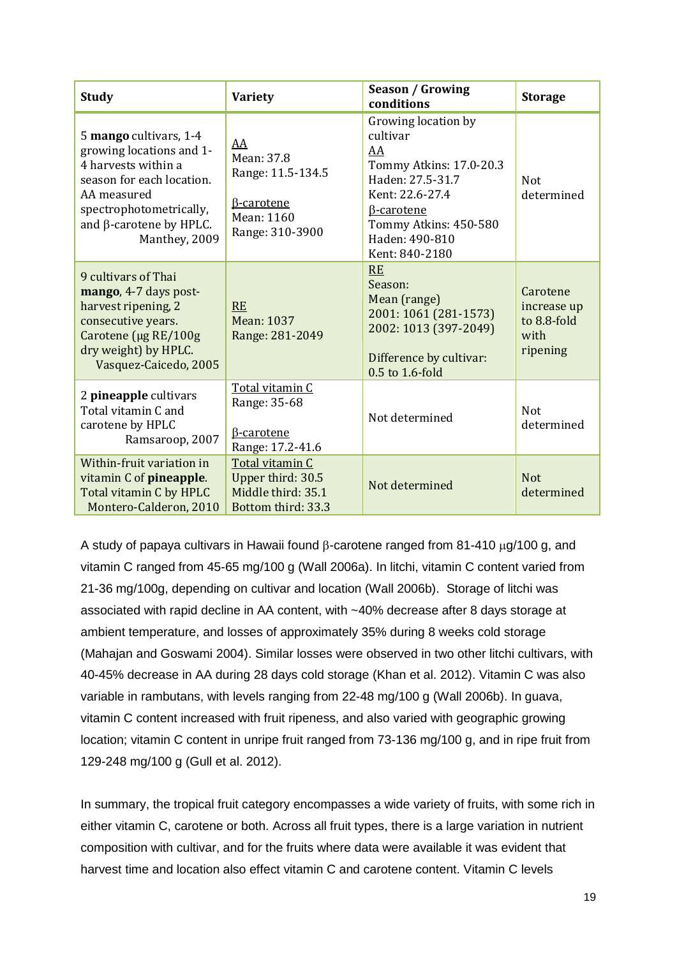| <b>Study</b>                                                                                                                                                                                        | <b>Variety</b>                                                                              | Season / Growing<br>conditions                                                                                                                                                            | <b>Storage</b>                                             |
|-----------------------------------------------------------------------------------------------------------------------------------------------------------------------------------------------------|---------------------------------------------------------------------------------------------|-------------------------------------------------------------------------------------------------------------------------------------------------------------------------------------------|------------------------------------------------------------|
| 5 mango cultivars, 1-4<br>growing locations and 1-<br>4 harvests within a<br>season for each location.<br>AA measured<br>spectrophotometrically,<br>and $\beta$ -carotene by HPLC.<br>Manthey, 2009 | AA<br>Mean: 37.8<br>Range: 11.5-134.5<br><b>B-carotene</b><br>Mean: 1160<br>Range: 310-3900 | Growing location by<br>cultivar<br>AA<br>Tommy Atkins: 17.0-20.3<br>Haden: 27.5-31.7<br>Kent: 22.6-27.4<br><b>B-carotene</b><br>Tommy Atkins: 450-580<br>Haden: 490-810<br>Kent: 840-2180 | <b>Not</b><br>determined                                   |
| 9 cultivars of Thai<br>mango, 4-7 days post-<br>harvest ripening, 2<br>consecutive years.<br>Carotene (µg RE/100g<br>dry weight) by HPLC.<br>Vasquez-Caicedo, 2005                                  | <b>RE</b><br><b>Mean: 1037</b><br>Range: 281-2049                                           | <b>RE</b><br>Season:<br>Mean (range)<br>2001: 1061 (281-1573)<br>2002: 1013 (397-2049)<br>Difference by cultivar:<br>0.5 to 1.6-fold                                                      | Carotene<br>increase up<br>to 8.8-fold<br>with<br>ripening |
| 2 pineapple cultivars<br>Total vitamin C and<br>carotene by HPLC<br>Ramsaroop, 2007                                                                                                                 | Total vitamin C<br>Range: 35-68<br><b>B-carotene</b><br>Range: 17.2-41.6                    | Not determined                                                                                                                                                                            | <b>Not</b><br>determined                                   |
| Within-fruit variation in<br>vitamin C of pineapple.<br>Total vitamin C by HPLC<br>Montero-Calderon, 2010                                                                                           | Total vitamin C<br>Upper third: 30.5<br>Middle third: 35.1<br>Bottom third: 33.3            | Not determined                                                                                                                                                                            | <b>Not</b><br>determined                                   |

A study of papaya cultivars in Hawaii found  $\beta$ -carotene ranged from 81-410  $\mu$ g/100 g, and vitamin C ranged from 45-65 mg/100 g (Wall 2006a). In litchi, vitamin C content varied from 21-36 mg/100g, depending on cultivar and location (Wall 2006b). Storage of litchi was associated with rapid decline in AA content, with ~40% decrease after 8 days storage at ambient temperature, and losses of approximately 35% during 8 weeks cold storage (Mahajan and Goswami 2004). Similar losses were observed in two other litchi cultivars, with 40-45% decrease in AA during 28 days cold storage (Khan et al. 2012). Vitamin C was also variable in rambutans, with levels ranging from 22-48 mg/100 g (Wall 2006b). In guava, vitamin C content increased with fruit ripeness, and also varied with geographic growing location; vitamin C content in unripe fruit ranged from 73-136 mg/100 g, and in ripe fruit from 129-248 mg/100 g (Gull et al. 2012).

In summary, the tropical fruit category encompasses a wide variety of fruits, with some rich in either vitamin C, carotene or both. Across all fruit types, there is a large variation in nutrient composition with cultivar, and for the fruits where data were available it was evident that harvest time and location also effect vitamin C and carotene content. Vitamin C levels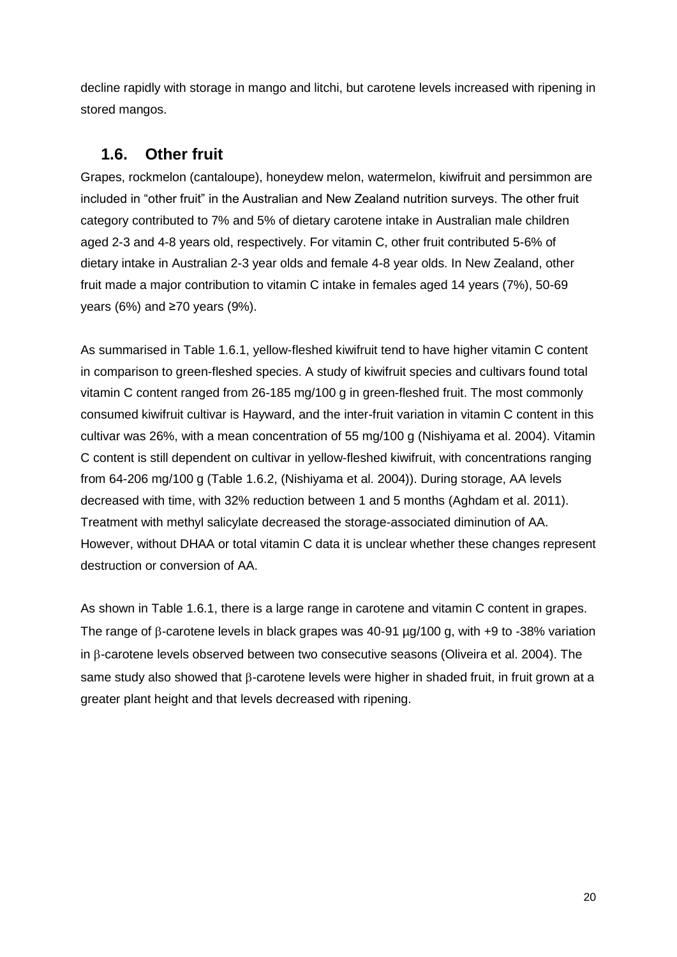decline rapidly with storage in mango and litchi, but carotene levels increased with ripening in stored mangos.

#### **1.6. Other fruit**

Grapes, rockmelon (cantaloupe), honeydew melon, watermelon, kiwifruit and persimmon are included in "other fruit" in the Australian and New Zealand nutrition surveys. The other fruit category contributed to 7% and 5% of dietary carotene intake in Australian male children aged 2-3 and 4-8 years old, respectively. For vitamin C, other fruit contributed 5-6% of dietary intake in Australian 2-3 year olds and female 4-8 year olds. In New Zealand, other fruit made a major contribution to vitamin C intake in females aged 14 years (7%), 50-69 years (6%) and ≥70 years (9%).

As summarised in Table 1.6.1, yellow-fleshed kiwifruit tend to have higher vitamin C content in comparison to green-fleshed species. A study of kiwifruit species and cultivars found total vitamin C content ranged from 26-185 mg/100 g in green-fleshed fruit. The most commonly consumed kiwifruit cultivar is Hayward, and the inter-fruit variation in vitamin C content in this cultivar was 26%, with a mean concentration of 55 mg/100 g (Nishiyama et al. 2004). Vitamin C content is still dependent on cultivar in yellow-fleshed kiwifruit, with concentrations ranging from 64-206 mg/100 g (Table 1.6.2, (Nishiyama et al. 2004)). During storage, AA levels decreased with time, with 32% reduction between 1 and 5 months (Aghdam et al. 2011). Treatment with methyl salicylate decreased the storage-associated diminution of AA. However, without DHAA or total vitamin C data it is unclear whether these changes represent destruction or conversion of AA.

As shown in Table 1.6.1, there is a large range in carotene and vitamin C content in grapes. The range of  $\beta$ -carotene levels in black grapes was 40-91  $\mu$ g/100 g, with +9 to -38% variation in  $\beta$ -carotene levels observed between two consecutive seasons (Oliveira et al. 2004). The same study also showed that  $\beta$ -carotene levels were higher in shaded fruit, in fruit grown at a greater plant height and that levels decreased with ripening.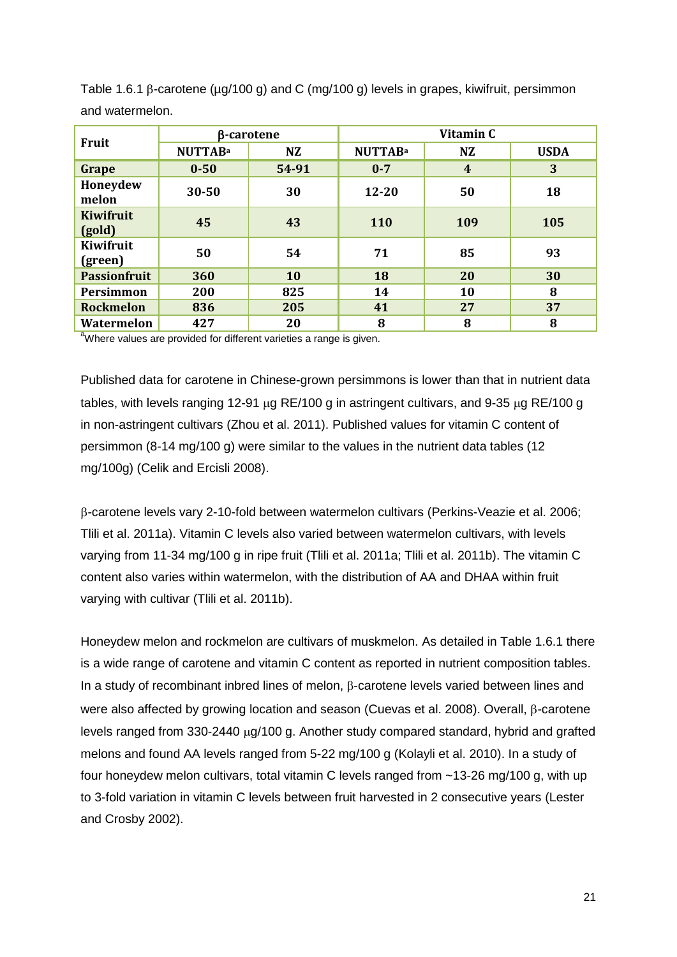| Fruit                | β-carotene     |       | Vitamin C      |           |             |
|----------------------|----------------|-------|----------------|-----------|-------------|
|                      | <b>NUTTABa</b> | NZ    | <b>NUTTABa</b> | <b>NZ</b> | <b>USDA</b> |
| Grape                | $0 - 50$       | 54-91 | $0 - 7$        | 4         | 3           |
| Honeydew<br>melon    | 30-50          | 30    | 12-20          | 50        | 18          |
| Kiwifruit<br>(gold)  | 45             | 43    | <b>110</b>     | 109       | 105         |
| Kiwifruit<br>(green) | 50             | 54    | 71             | 85        | 93          |
| <b>Passionfruit</b>  | 360            | 10    | 18             | <b>20</b> | 30          |
| Persimmon            | 200            | 825   | 14             | 10        | 8           |
| <b>Rockmelon</b>     | 836            | 205   | 41             | 27        | 37          |
| Watermelon           | 427            | 20    | 8              | 8         | 8           |

Table 1.6.1  $\beta$ -carotene ( $\mu$ g/100 g) and C (mg/100 g) levels in grapes, kiwifruit, persimmon and watermelon.

<sup>a</sup>Where values are provided for different varieties a range is given.

Published data for carotene in Chinese-grown persimmons is lower than that in nutrient data tables, with levels ranging 12-91  $\mu$ g RE/100 g in astringent cultivars, and 9-35  $\mu$ g RE/100 g in non-astringent cultivars (Zhou et al. 2011). Published values for vitamin C content of persimmon (8-14 mg/100 g) were similar to the values in the nutrient data tables (12 mg/100g) (Celik and Ercisli 2008).

-carotene levels vary 2-10-fold between watermelon cultivars (Perkins-Veazie et al. 2006; Tlili et al. 2011a). Vitamin C levels also varied between watermelon cultivars, with levels varying from 11-34 mg/100 g in ripe fruit (Tlili et al. 2011a; Tlili et al. 2011b). The vitamin C content also varies within watermelon, with the distribution of AA and DHAA within fruit varying with cultivar (Tlili et al. 2011b).

Honeydew melon and rockmelon are cultivars of muskmelon. As detailed in Table 1.6.1 there is a wide range of carotene and vitamin C content as reported in nutrient composition tables. In a study of recombinant inbred lines of melon,  $\beta$ -carotene levels varied between lines and were also affected by growing location and season (Cuevas et al. 2008). Overall,  $\beta$ -carotene levels ranged from  $330-2440 \mu q/100 q$ . Another study compared standard, hybrid and grafted melons and found AA levels ranged from 5-22 mg/100 g (Kolayli et al. 2010). In a study of four honeydew melon cultivars, total vitamin C levels ranged from ~13-26 mg/100 g, with up to 3-fold variation in vitamin C levels between fruit harvested in 2 consecutive years (Lester and Crosby 2002).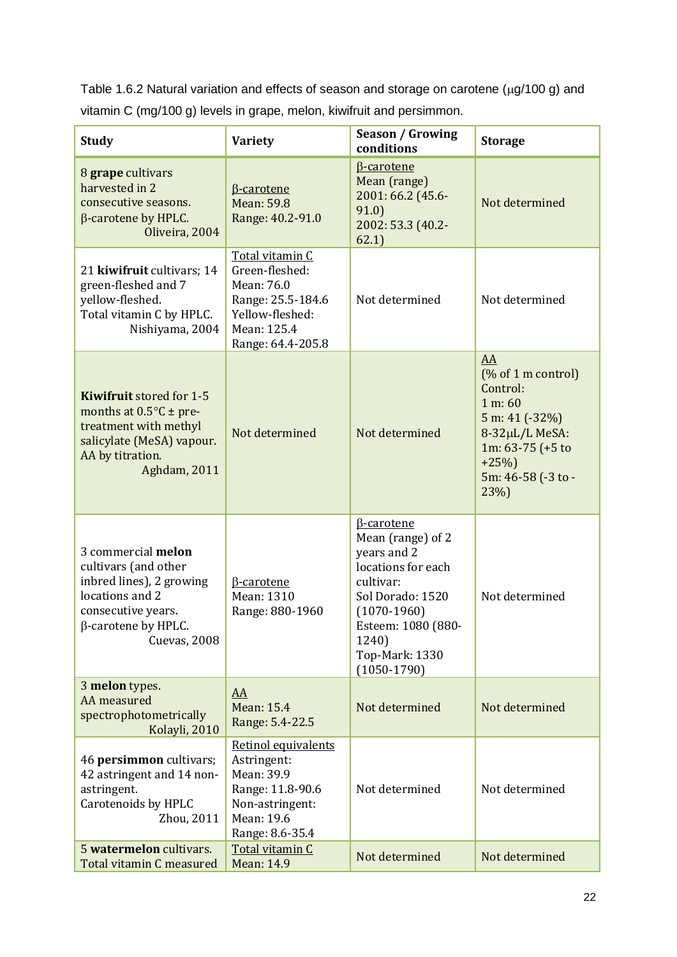Table 1.6.2 Natural variation and effects of season and storage on carotene ( $\mu$ g/100 g) and vitamin C (mg/100 g) levels in grape, melon, kiwifruit and persimmon.

| <b>Study</b>                                                                                                                                                  | <b>Variety</b>                                                                                                              | <b>Season / Growing</b><br>conditions                                                                                                                                                                  | <b>Storage</b>                                                                                                                                     |
|---------------------------------------------------------------------------------------------------------------------------------------------------------------|-----------------------------------------------------------------------------------------------------------------------------|--------------------------------------------------------------------------------------------------------------------------------------------------------------------------------------------------------|----------------------------------------------------------------------------------------------------------------------------------------------------|
| 8 grape cultivars<br>harvested in 2<br>consecutive seasons.<br>$\beta$ -carotene by HPLC.<br>Oliveira, 2004                                                   | <b>B-carotene</b><br><b>Mean: 59.8</b><br>Range: 40.2-91.0                                                                  | <b>B-carotene</b><br>Mean (range)<br>2001: 66.2 (45.6-<br>91.0)<br>2002: 53.3 (40.2-<br>62.1)                                                                                                          | Not determined                                                                                                                                     |
| 21 kiwifruit cultivars; 14<br>green-fleshed and 7<br>yellow-fleshed.<br>Total vitamin C by HPLC.<br>Nishiyama, 2004                                           | Total vitamin C<br>Green-fleshed:<br>Mean: 76.0<br>Range: 25.5-184.6<br>Yellow-fleshed:<br>Mean: 125.4<br>Range: 64.4-205.8 | Not determined                                                                                                                                                                                         | Not determined                                                                                                                                     |
| <b>Kiwifruit</b> stored for 1-5<br>months at $0.5^{\circ}$ C ± pre-<br>treatment with methyl<br>salicylate (MeSA) vapour.<br>AA by titration.<br>Aghdam, 2011 | Not determined                                                                                                              | Not determined                                                                                                                                                                                         | AA<br>$(\%$ of 1 m control)<br>Control:<br>1 m: 60<br>5 m: 41 (-32%)<br>8-32µL/L MeSA:<br>1m: 63-75 (+5 to<br>$+25%$<br>5m: 46-58 (-3 to -<br>23%) |
| 3 commercial melon<br>cultivars (and other<br>inbred lines), 2 growing<br>locations and 2<br>consecutive years.<br>$\beta$ -carotene by HPLC.<br>Cuevas, 2008 | <b>B-carotene</b><br>Mean: 1310<br>Range: 880-1960                                                                          | <b>B-carotene</b><br>Mean (range) of 2<br>years and 2<br>locations for each<br>cultivar:<br>Sol Dorado: 1520<br>$(1070-1960)$<br>Esteem: 1080 (880-<br>1240)<br><b>Top-Mark: 1330</b><br>$(1050-1790)$ | Not determined                                                                                                                                     |
| 3 melon types.<br>AA measured<br>spectrophotometrically<br>Kolayli, 2010                                                                                      | AA<br>Mean: 15.4<br>Range: 5.4-22.5                                                                                         | Not determined                                                                                                                                                                                         | Not determined                                                                                                                                     |
| 46 persimmon cultivars;<br>42 astringent and 14 non-<br>astringent.<br>Carotenoids by HPLC<br>Zhou, 2011                                                      | Retinol equivalents<br>Astringent:<br>Mean: 39.9<br>Range: 11.8-90.6<br>Non-astringent:<br>Mean: 19.6<br>Range: 8.6-35.4    | Not determined                                                                                                                                                                                         | Not determined                                                                                                                                     |
| 5 watermelon cultivars.<br>Total vitamin C measured                                                                                                           | Total vitamin C<br>Mean: 14.9                                                                                               | Not determined                                                                                                                                                                                         | Not determined                                                                                                                                     |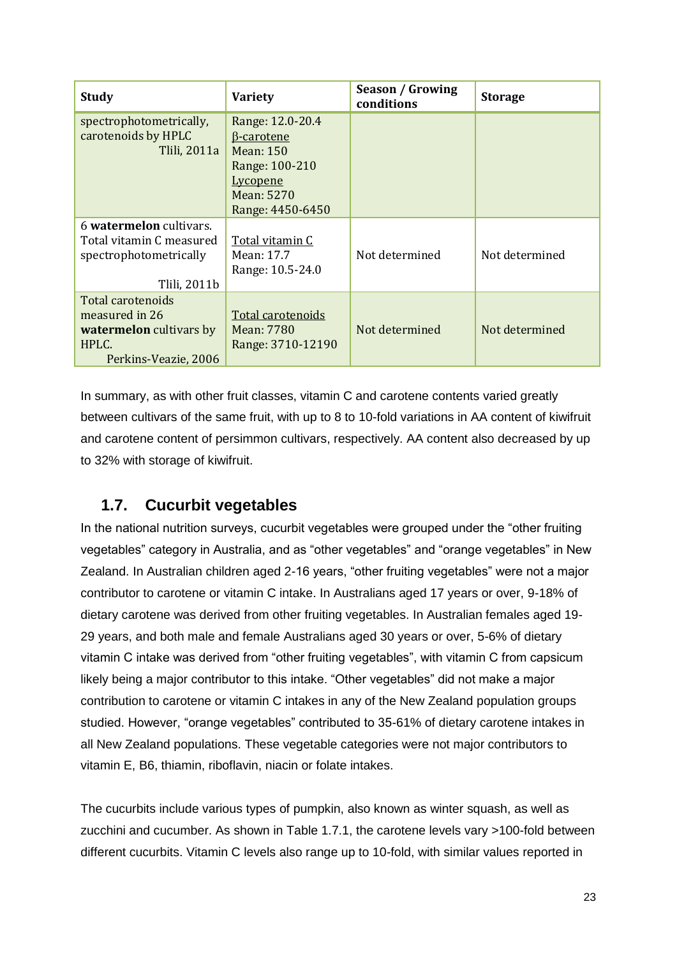| <b>Study</b>                   | <b>Variety</b>    | Season / Growing<br>conditions | <b>Storage</b> |
|--------------------------------|-------------------|--------------------------------|----------------|
| spectrophotometrically,        | Range: 12.0-20.4  |                                |                |
| carotenoids by HPLC            | <b>B-carotene</b> |                                |                |
| Tlili, 2011a                   | Mean: 150         |                                |                |
|                                | Range: 100-210    |                                |                |
|                                | <u>Lycopene</u>   |                                |                |
|                                | <b>Mean: 5270</b> |                                |                |
|                                | Range: 4450-6450  |                                |                |
| 6 watermelon cultivars.        |                   |                                |                |
| Total vitamin C measured       | Total vitamin C   |                                |                |
| spectrophotometrically         | Mean: 17.7        | Not determined                 | Not determined |
|                                | Range: 10.5-24.0  |                                |                |
| Tlili, 2011b                   |                   |                                |                |
| Total carotenoids              |                   |                                |                |
| measured in 26                 | Total carotenoids |                                |                |
| <b>watermelon</b> cultivars by | Mean: 7780        | Not determined                 | Not determined |
| HPLC.                          | Range: 3710-12190 |                                |                |
| Perkins-Veazie, 2006           |                   |                                |                |

In summary, as with other fruit classes, vitamin C and carotene contents varied greatly between cultivars of the same fruit, with up to 8 to 10-fold variations in AA content of kiwifruit and carotene content of persimmon cultivars, respectively. AA content also decreased by up to 32% with storage of kiwifruit.

### **1.7. Cucurbit vegetables**

In the national nutrition surveys, cucurbit vegetables were grouped under the "other fruiting vegetables" category in Australia, and as "other vegetables" and "orange vegetables" in New Zealand. In Australian children aged 2-16 years, "other fruiting vegetables" were not a major contributor to carotene or vitamin C intake. In Australians aged 17 years or over, 9-18% of dietary carotene was derived from other fruiting vegetables. In Australian females aged 19- 29 years, and both male and female Australians aged 30 years or over, 5-6% of dietary vitamin C intake was derived from "other fruiting vegetables", with vitamin C from capsicum likely being a major contributor to this intake. "Other vegetables" did not make a major contribution to carotene or vitamin C intakes in any of the New Zealand population groups studied. However, "orange vegetables" contributed to 35-61% of dietary carotene intakes in all New Zealand populations. These vegetable categories were not major contributors to vitamin E, B6, thiamin, riboflavin, niacin or folate intakes.

The cucurbits include various types of pumpkin, also known as winter squash, as well as zucchini and cucumber. As shown in Table 1.7.1, the carotene levels vary >100-fold between different cucurbits. Vitamin C levels also range up to 10-fold, with similar values reported in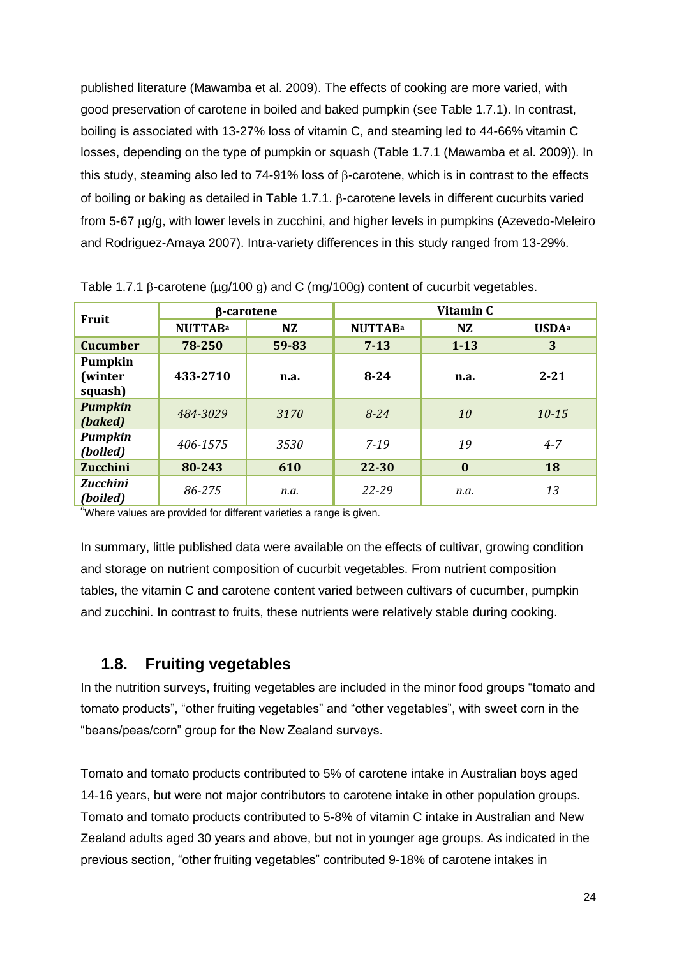published literature (Mawamba et al. 2009). The effects of cooking are more varied, with good preservation of carotene in boiled and baked pumpkin (see Table 1.7.1). In contrast, boiling is associated with 13-27% loss of vitamin C, and steaming led to 44-66% vitamin C losses, depending on the type of pumpkin or squash (Table 1.7.1 (Mawamba et al. 2009)). In this study, steaming also led to 74-91% loss of  $\beta$ -carotene, which is in contrast to the effects of boiling or baking as detailed in Table 1.7.1.  $\beta$ -carotene levels in different cucurbits varied from 5-67  $\mu$ g/g, with lower levels in zucchini, and higher levels in pumpkins (Azevedo-Meleiro and Rodriguez-Amaya 2007). Intra-variety differences in this study ranged from 13-29%.

| <b>Fruit</b>                  | β-carotene     |           | Vitamin C      |           |                          |
|-------------------------------|----------------|-----------|----------------|-----------|--------------------------|
|                               | <b>NUTTABa</b> | <b>NZ</b> | <b>NUTTABa</b> | <b>NZ</b> | <b>USDA</b> <sup>a</sup> |
| <b>Cucumber</b>               | 78-250         | 59-83     | $7 - 13$       | $1 - 13$  | 3                        |
| Pumpkin<br>(winter<br>squash) | 433-2710       | n.a.      | $8 - 24$       | n.a.      | $2 - 21$                 |
| <b>Pumpkin</b><br>(baked)     | 484-3029       | 3170      | $8 - 24$       | 10        | $10 - 15$                |
| <b>Pumpkin</b><br>(boiled)    | 406-1575       | 3530      | $7 - 19$       | 19        | $4 - 7$                  |
| <b>Zucchini</b>               | 80-243         | 610       | 22-30          | $\bf{0}$  | <b>18</b>                |
| <b>Zucchini</b><br>(boiled)   | 86-275         | n.a.      | $22 - 29$      | n.a.      | 13                       |

Table 1.7.1  $\beta$ -carotene ( $\mu q/100 q$ ) and C (mg/100g) content of cucurbit vegetables.

<sup>a</sup>Where values are provided for different varieties a range is given.

In summary, little published data were available on the effects of cultivar, growing condition and storage on nutrient composition of cucurbit vegetables. From nutrient composition tables, the vitamin C and carotene content varied between cultivars of cucumber, pumpkin and zucchini. In contrast to fruits, these nutrients were relatively stable during cooking.

#### **1.8. Fruiting vegetables**

In the nutrition surveys, fruiting vegetables are included in the minor food groups "tomato and tomato products", "other fruiting vegetables" and "other vegetables", with sweet corn in the "beans/peas/corn" group for the New Zealand surveys.

Tomato and tomato products contributed to 5% of carotene intake in Australian boys aged 14-16 years, but were not major contributors to carotene intake in other population groups. Tomato and tomato products contributed to 5-8% of vitamin C intake in Australian and New Zealand adults aged 30 years and above, but not in younger age groups. As indicated in the previous section, "other fruiting vegetables" contributed 9-18% of carotene intakes in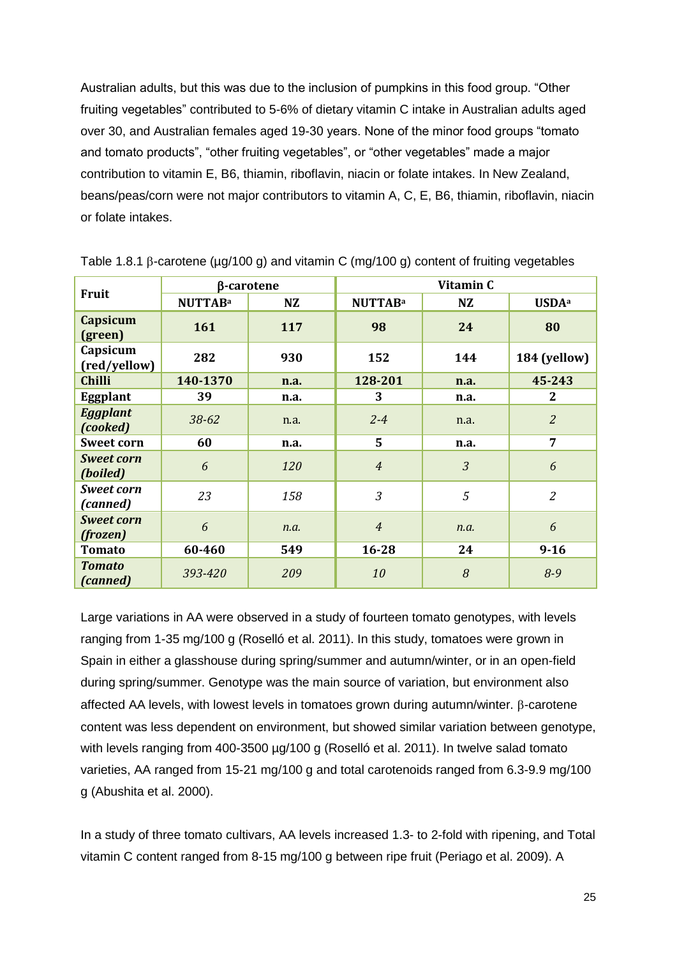Australian adults, but this was due to the inclusion of pumpkins in this food group. "Other fruiting vegetables" contributed to 5-6% of dietary vitamin C intake in Australian adults aged over 30, and Australian females aged 19-30 years. None of the minor food groups "tomato and tomato products", "other fruiting vegetables", or "other vegetables" made a major contribution to vitamin E, B6, thiamin, riboflavin, niacin or folate intakes. In New Zealand, beans/peas/corn were not major contributors to vitamin A, C, E, B6, thiamin, riboflavin, niacin or folate intakes.

| <b>Fruit</b>                  | β-carotene     |      | Vitamin C      |                |                          |
|-------------------------------|----------------|------|----------------|----------------|--------------------------|
|                               | <b>NUTTABa</b> | NZ   | <b>NUTTABa</b> | <b>NZ</b>      | <b>USDA</b> <sup>a</sup> |
| Capsicum<br>(green)           | 161            | 117  | 98             | 24             | 80                       |
| Capsicum<br>(red/yellow)      | 282            | 930  | 152            | 144            | 184 (yellow)             |
| <b>Chilli</b>                 | 140-1370       | n.a. | 128-201        | n.a.           | 45-243                   |
| Eggplant                      | 39             | n.a. | 3              | n.a.           | $\mathbf{2}$             |
| <b>Eggplant</b><br>(cooked)   | $38 - 62$      | n.a. | $2 - 4$        | n.a.           | $\overline{2}$           |
| <b>Sweet corn</b>             | 60             | n.a. | $5^{\circ}$    | n.a.           | $\overline{7}$           |
| <b>Sweet corn</b><br>(boiled) | 6              | 120  | $\overline{4}$ | $\mathfrak{Z}$ | 6                        |
| <b>Sweet corn</b><br>(canned) | 23             | 158  | 3              | 5              | $\overline{2}$           |
| <b>Sweet corn</b><br>(frozen) | 6              | n.a. | $\overline{4}$ | n.a.           | 6                        |
| <b>Tomato</b>                 | 60-460         | 549  | $16 - 28$      | 24             | $9 - 16$                 |
| <b>Tomato</b><br>(canned)     | 393-420        | 209  | 10             | 8              | $8 - 9$                  |

Table 1.8.1  $\beta$ -carotene ( $\mu$ g/100 g) and vitamin C (mg/100 g) content of fruiting vegetables

Large variations in AA were observed in a study of fourteen tomato genotypes, with levels ranging from 1-35 mg/100 g (Roselló et al. 2011). In this study, tomatoes were grown in Spain in either a glasshouse during spring/summer and autumn/winter, or in an open-field during spring/summer. Genotype was the main source of variation, but environment also affected AA levels, with lowest levels in tomatoes grown during autumn/winter. B-carotene content was less dependent on environment, but showed similar variation between genotype, with levels ranging from 400-3500 µg/100 g (Roselló et al. 2011). In twelve salad tomato varieties, AA ranged from 15-21 mg/100 g and total carotenoids ranged from 6.3-9.9 mg/100 g (Abushita et al. 2000).

In a study of three tomato cultivars, AA levels increased 1.3- to 2-fold with ripening, and Total vitamin C content ranged from 8-15 mg/100 g between ripe fruit (Periago et al. 2009). A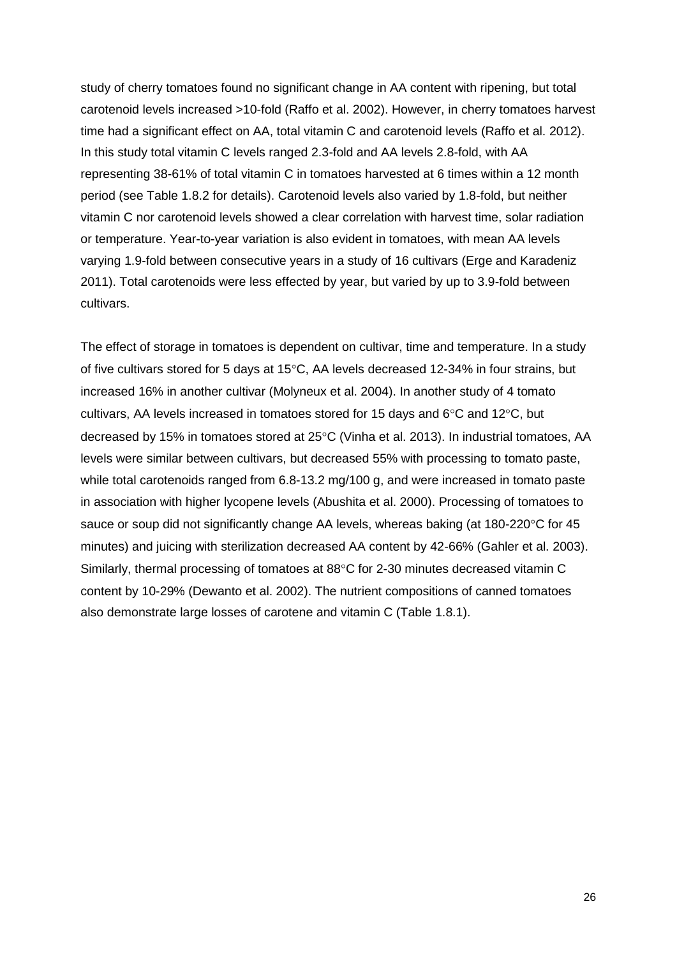study of cherry tomatoes found no significant change in AA content with ripening, but total carotenoid levels increased >10-fold (Raffo et al. 2002). However, in cherry tomatoes harvest time had a significant effect on AA, total vitamin C and carotenoid levels (Raffo et al. 2012). In this study total vitamin C levels ranged 2.3-fold and AA levels 2.8-fold, with AA representing 38-61% of total vitamin C in tomatoes harvested at 6 times within a 12 month period (see Table 1.8.2 for details). Carotenoid levels also varied by 1.8-fold, but neither vitamin C nor carotenoid levels showed a clear correlation with harvest time, solar radiation or temperature. Year-to-year variation is also evident in tomatoes, with mean AA levels varying 1.9-fold between consecutive years in a study of 16 cultivars (Erge and Karadeniz 2011). Total carotenoids were less effected by year, but varied by up to 3.9-fold between cultivars.

The effect of storage in tomatoes is dependent on cultivar, time and temperature. In a study of five cultivars stored for 5 days at  $15^{\circ}$ C. AA levels decreased 12-34% in four strains, but increased 16% in another cultivar (Molyneux et al. 2004). In another study of 4 tomato cultivars, AA levels increased in tomatoes stored for 15 days and  $6^{\circ}$ C and 12 $^{\circ}$ C, but decreased by 15% in tomatoes stored at 25°C (Vinha et al. 2013). In industrial tomatoes, AA levels were similar between cultivars, but decreased 55% with processing to tomato paste, while total carotenoids ranged from 6.8-13.2 mg/100 g, and were increased in tomato paste in association with higher lycopene levels (Abushita et al. 2000). Processing of tomatoes to sauce or soup did not significantly change AA levels, whereas baking (at 180-220°C for 45 minutes) and juicing with sterilization decreased AA content by 42-66% (Gahler et al. 2003). Similarly, thermal processing of tomatoes at 88°C for 2-30 minutes decreased vitamin C content by 10-29% (Dewanto et al. 2002). The nutrient compositions of canned tomatoes also demonstrate large losses of carotene and vitamin C (Table 1.8.1).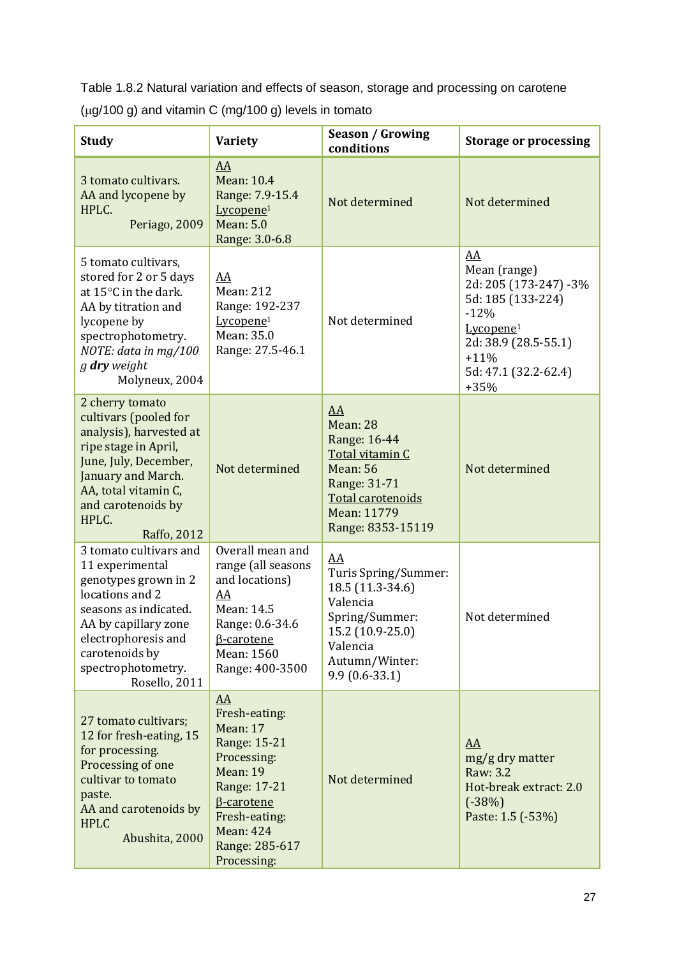Table 1.8.2 Natural variation and effects of season, storage and processing on carotene

| <b>Study</b>                                                                                                                                                                                                          | <b>Variety</b>                                                                                                                                                                                             | <b>Season / Growing</b><br>conditions                                                                                                             | <b>Storage or processing</b>                                                                                                                                            |
|-----------------------------------------------------------------------------------------------------------------------------------------------------------------------------------------------------------------------|------------------------------------------------------------------------------------------------------------------------------------------------------------------------------------------------------------|---------------------------------------------------------------------------------------------------------------------------------------------------|-------------------------------------------------------------------------------------------------------------------------------------------------------------------------|
| 3 tomato cultivars.<br>AA and lycopene by<br>HPLC.<br>Periago, 2009                                                                                                                                                   | AA<br><b>Mean: 10.4</b><br>Range: 7.9-15.4<br>Lycopene <sup>1</sup><br><b>Mean: 5.0</b><br>Range: 3.0-6.8                                                                                                  | Not determined                                                                                                                                    | Not determined                                                                                                                                                          |
| 5 tomato cultivars,<br>stored for 2 or 5 days<br>at 15°C in the dark.<br>AA by titration and<br>lycopene by<br>spectrophotometry.<br>NOTE: data in mg/100<br>g dry weight<br>Molyneux, 2004                           | AA<br><b>Mean: 212</b><br>Range: 192-237<br>Lycopene <sup>1</sup><br>Mean: 35.0<br>Range: 27.5-46.1                                                                                                        | Not determined                                                                                                                                    | AA<br>Mean (range)<br>2d: 205 (173-247) -3%<br>5d: 185 (133-224)<br>$-12%$<br>Lycopene <sup>1</sup><br>2d: 38.9 (28.5-55.1)<br>$+11%$<br>5d: 47.1 (32.2-62.4)<br>$+35%$ |
| 2 cherry tomato<br>cultivars (pooled for<br>analysis), harvested at<br>ripe stage in April,<br>June, July, December,<br>January and March.<br>AA, total vitamin C,<br>and carotenoids by<br>HPLC.<br>Raffo, 2012      | Not determined                                                                                                                                                                                             | AA<br>Mean: 28<br>Range: 16-44<br>Total vitamin C<br><b>Mean: 56</b><br>Range: 31-71<br>Total carotenoids<br>Mean: 11779<br>Range: 8353-15119     | Not determined                                                                                                                                                          |
| 3 tomato cultivars and<br>11 experimental<br>genotypes grown in 2<br>locations and 2<br>seasons as indicated.<br>AA by capillary zone<br>electrophoresis and<br>carotenoids by<br>spectrophotometry.<br>Rosello, 2011 | Overall mean and<br>range (all seasons<br>and locations)<br>AA<br>Mean: 14.5<br>Range: 0.6-34.6<br><b>B-carotene</b><br>Mean: 1560<br>Range: 400-3500                                                      | AA<br>Turis Spring/Summer:<br>18.5 (11.3-34.6)<br>Valencia<br>Spring/Summer:<br>15.2 (10.9-25.0)<br>Valencia<br>Autumn/Winter:<br>$9.9(0.6-33.1)$ | Not determined                                                                                                                                                          |
| 27 tomato cultivars;<br>12 for fresh-eating, 15<br>for processing.<br>Processing of one<br>cultivar to tomato<br>paste.<br>AA and carotenoids by<br><b>HPLC</b><br>Abushita, 2000                                     | $\underline{AA}$<br>Fresh-eating:<br><b>Mean: 17</b><br>Range: 15-21<br>Processing:<br>Mean: 19<br>Range: 17-21<br><b>B-carotene</b><br>Fresh-eating:<br><b>Mean: 424</b><br>Range: 285-617<br>Processing: | Not determined                                                                                                                                    | $\underline{AA}$<br>mg/g dry matter<br>Raw: 3.2<br>Hot-break extract: 2.0<br>$(-38%)$<br>Paste: 1.5 (-53%)                                                              |

 $(\mu g/100 g)$  and vitamin C (mg/100 g) levels in tomato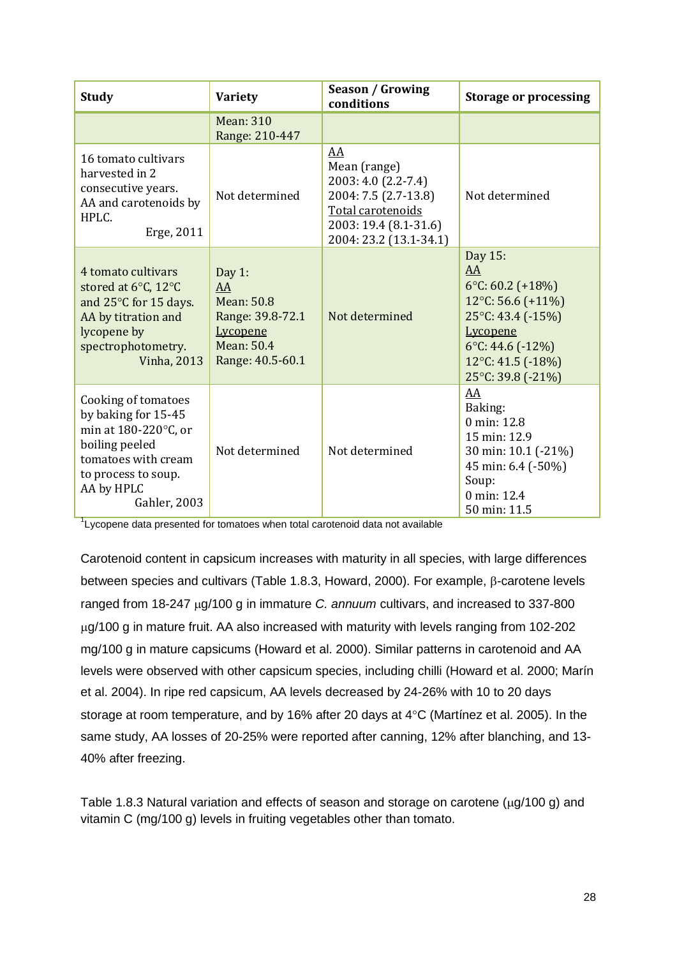| <b>Study</b>                                                                                                                                                     | Variety                                                                                               | <b>Season / Growing</b><br>conditions                                                                                                     | <b>Storage or processing</b>                                                                                                                                           |
|------------------------------------------------------------------------------------------------------------------------------------------------------------------|-------------------------------------------------------------------------------------------------------|-------------------------------------------------------------------------------------------------------------------------------------------|------------------------------------------------------------------------------------------------------------------------------------------------------------------------|
|                                                                                                                                                                  | <b>Mean: 310</b><br>Range: 210-447                                                                    |                                                                                                                                           |                                                                                                                                                                        |
| 16 tomato cultivars<br>harvested in 2<br>consecutive years.<br>AA and carotenoids by<br>HPLC.<br>Erge, 2011                                                      | Not determined                                                                                        | AA<br>Mean (range)<br>2003: 4.0 (2.2-7.4)<br>2004: 7.5 (2.7-13.8)<br>Total carotenoids<br>2003: 19.4 (8.1-31.6)<br>2004: 23.2 (13.1-34.1) | Not determined                                                                                                                                                         |
| 4 tomato cultivars<br>stored at 6°C, 12°C<br>and 25°C for 15 days.<br>AA by titration and<br>lycopene by<br>spectrophotometry.<br><b>Vinha</b> , 2013            | Day $1:$<br>AA<br><b>Mean: 50.8</b><br>Range: 39.8-72.1<br>Lycopene<br>Mean: 50.4<br>Range: 40.5-60.1 | Not determined                                                                                                                            | Day 15:<br>AA<br>6 $°C: 60.2 (+18%)$<br>12°C: 56.6 (+11%)<br>25°C: 43.4 (-15%)<br><b>Lycopene</b><br>6°C: 44.6 $(-12\%)$<br>12 $°C$ : 41.5 (-18%)<br>25°C: 39.8 (-21%) |
| Cooking of tomatoes<br>by baking for 15-45<br>min at 180-220°C, or<br>boiling peeled<br>tomatoes with cream<br>to process to soup.<br>AA by HPLC<br>Gahler, 2003 | Not determined                                                                                        | Not determined                                                                                                                            | AA<br>Baking:<br>0 min: 12.8<br>15 min: 12.9<br>30 min: 10.1 (-21%)<br>45 min: 6.4 (-50%)<br>Soup:<br>0 min: 12.4<br>50 min: 11.5                                      |

<sup>1</sup>Lycopene data presented for tomatoes when total carotenoid data not available

Carotenoid content in capsicum increases with maturity in all species, with large differences between species and cultivars (Table 1.8.3, Howard, 2000). For example,  $\beta$ -carotene levels ranged from 18-247  $\mu$ g/100 g in immature *C. annuum* cultivars, and increased to 337-800 g/100 g in mature fruit. AA also increased with maturity with levels ranging from 102-202 mg/100 g in mature capsicums (Howard et al. 2000). Similar patterns in carotenoid and AA levels were observed with other capsicum species, including chilli (Howard et al. 2000; Marín et al. 2004). In ripe red capsicum, AA levels decreased by 24-26% with 10 to 20 days storage at room temperature, and by 16% after 20 days at  $4^{\circ}$ C (Martínez et al. 2005). In the same study, AA losses of 20-25% were reported after canning, 12% after blanching, and 13- 40% after freezing.

Table 1.8.3 Natural variation and effects of season and storage on carotene  $(\mu q/100 q)$  and vitamin C (mg/100 g) levels in fruiting vegetables other than tomato.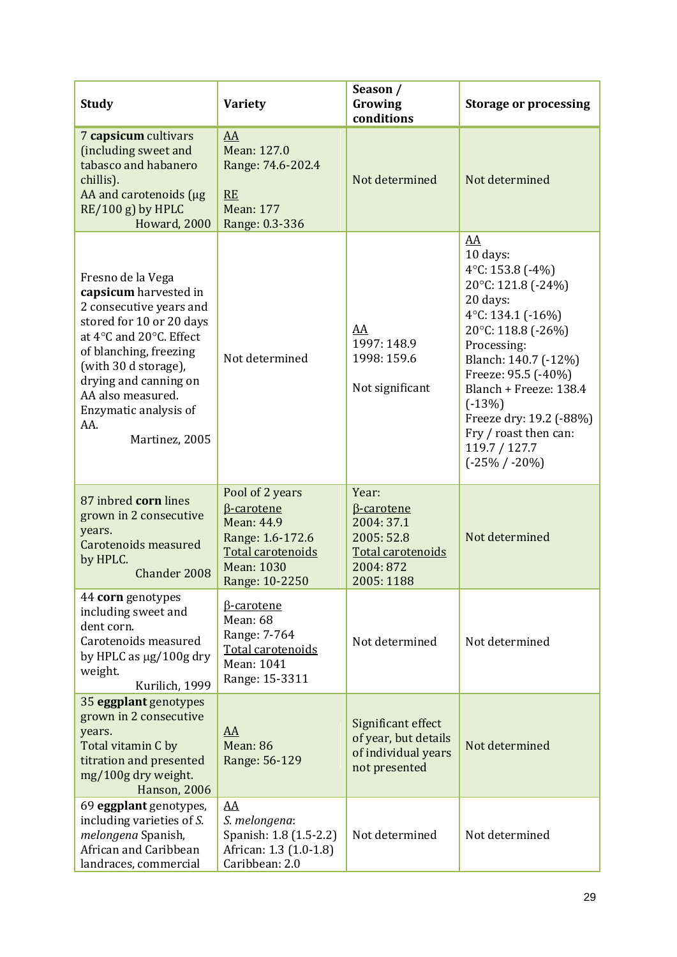| <b>Study</b>                                                                                                                                                                                                                                                                   | <b>Variety</b>                                                                                                                     | Season /<br>Growing<br>conditions                                                                       | <b>Storage or processing</b>                                                                                                                                                                                                                                                                                          |
|--------------------------------------------------------------------------------------------------------------------------------------------------------------------------------------------------------------------------------------------------------------------------------|------------------------------------------------------------------------------------------------------------------------------------|---------------------------------------------------------------------------------------------------------|-----------------------------------------------------------------------------------------------------------------------------------------------------------------------------------------------------------------------------------------------------------------------------------------------------------------------|
| 7 capsicum cultivars<br>(including sweet and<br>tabasco and habanero<br>chillis).<br>AA and carotenoids (µg<br>$RE/100 g$ ) by HPLC<br>Howard, 2000                                                                                                                            | AA<br>Mean: 127.0<br>Range: 74.6-202.4<br><b>RE</b><br><b>Mean: 177</b><br>Range: 0.3-336                                          | Not determined                                                                                          | Not determined                                                                                                                                                                                                                                                                                                        |
| Fresno de la Vega<br>capsicum harvested in<br>2 consecutive years and<br>stored for 10 or 20 days<br>at 4°C and 20°C. Effect<br>of blanching, freezing<br>(with 30 d storage),<br>drying and canning on<br>AA also measured.<br>Enzymatic analysis of<br>AA.<br>Martinez, 2005 | Not determined                                                                                                                     | AA<br>1997: 148.9<br>1998: 159.6<br>Not significant                                                     | AA<br>10 days:<br>4 $°C$ : 153.8 (-4%)<br>20°C: 121.8 (-24%)<br>20 days:<br>4 $°C$ : 134.1 (-16%)<br>20°C: 118.8 (-26%)<br>Processing:<br>Blanch: 140.7 (-12%)<br>Freeze: 95.5 (-40%)<br>Blanch + Freeze: 138.4<br>$(-13%)$<br>Freeze dry: 19.2 (-88%)<br>Fry / roast then can:<br>119.7 / 127.7<br>$(-25\% / -20\%)$ |
| 87 inbred corn lines<br>grown in 2 consecutive<br>years.<br>Carotenoids measured<br>by HPLC.<br>Chander 2008                                                                                                                                                                   | Pool of 2 years<br><b>B-carotene</b><br>Mean: 44.9<br>Range: 1.6-172.6<br>Total carotenoids<br><b>Mean: 1030</b><br>Range: 10-2250 | Year:<br><b>B</b> -carotene<br>2004: 37.1<br>2005: 52.8<br>Total carotenoids<br>2004: 872<br>2005: 1188 | Not determined                                                                                                                                                                                                                                                                                                        |
| 44 corn genotypes<br>including sweet and<br>dent corn.<br>Carotenoids measured<br>by HPLC as $\mu$ g/100g dry<br>weight.<br>Kurilich, 1999                                                                                                                                     | <b>B-carotene</b><br><b>Mean: 68</b><br>Range: 7-764<br>Total carotenoids<br>Mean: 1041<br>Range: 15-3311                          | Not determined                                                                                          | Not determined                                                                                                                                                                                                                                                                                                        |
| 35 eggplant genotypes<br>grown in 2 consecutive<br>years.<br>Total vitamin C by<br>titration and presented<br>mg/100g dry weight.<br><b>Hanson</b> , 2006                                                                                                                      | AA<br>Mean: 86<br>Range: 56-129                                                                                                    | Significant effect<br>of year, but details<br>of individual years<br>not presented                      | Not determined                                                                                                                                                                                                                                                                                                        |
| 69 eggplant genotypes,<br>including varieties of S.<br>melongena Spanish,<br>African and Caribbean<br>landraces, commercial                                                                                                                                                    | AA<br>S. melongena:<br>Spanish: 1.8 (1.5-2.2)<br>African: 1.3 (1.0-1.8)<br>Caribbean: 2.0                                          | Not determined                                                                                          | Not determined                                                                                                                                                                                                                                                                                                        |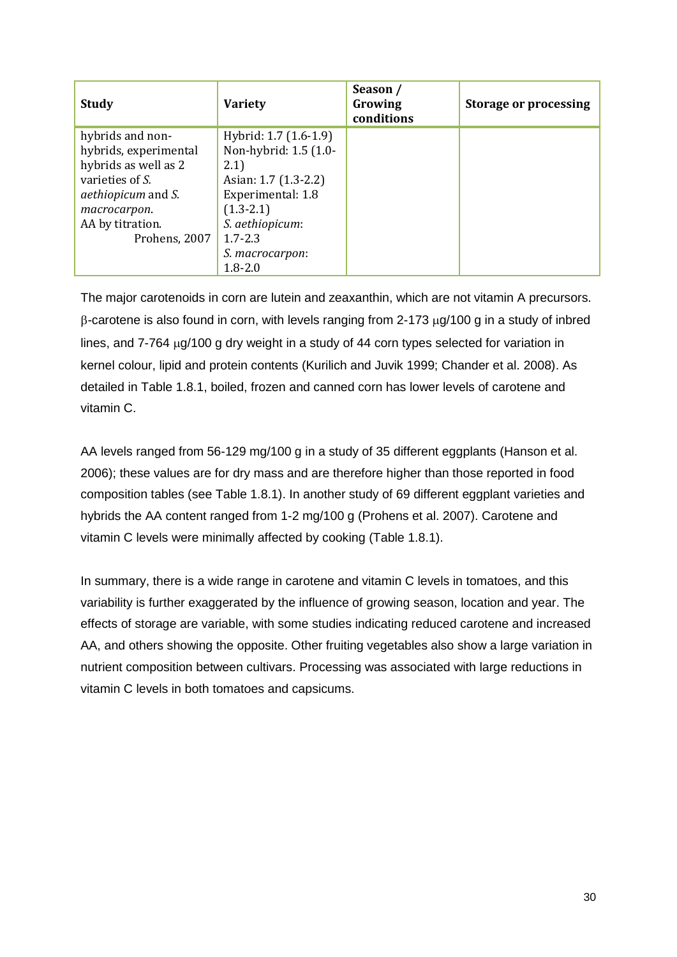| <b>Study</b>                      | <b>Variety</b>        | Season /<br>Growing<br>conditions | <b>Storage or processing</b> |
|-----------------------------------|-----------------------|-----------------------------------|------------------------------|
| hybrids and non-                  | Hybrid: 1.7 (1.6-1.9) |                                   |                              |
| hybrids, experimental             | Non-hybrid: 1.5 (1.0- |                                   |                              |
| hybrids as well as 2              | 2.1)                  |                                   |                              |
| varieties of S.                   | Asian: 1.7 (1.3-2.2)  |                                   |                              |
| <i>aethiopicum</i> and <i>S</i> . | Experimental: 1.8     |                                   |                              |
| macrocarpon.                      | $(1.3 - 2.1)$         |                                   |                              |
| AA by titration.                  | S. aethiopicum:       |                                   |                              |
| Prohens, 2007                     | $1.7 - 2.3$           |                                   |                              |
|                                   | S. macrocarpon:       |                                   |                              |
|                                   | $1.8 - 2.0$           |                                   |                              |

The major carotenoids in corn are lutein and zeaxanthin, which are not vitamin A precursors.  $\beta$ -carotene is also found in corn, with levels ranging from 2-173  $\mu$ g/100 g in a study of inbred lines, and  $7-764 \mu g/100 g$  dry weight in a study of 44 corn types selected for variation in kernel colour, lipid and protein contents (Kurilich and Juvik 1999; Chander et al. 2008). As detailed in Table 1.8.1, boiled, frozen and canned corn has lower levels of carotene and vitamin C.

AA levels ranged from 56-129 mg/100 g in a study of 35 different eggplants (Hanson et al. 2006); these values are for dry mass and are therefore higher than those reported in food composition tables (see Table 1.8.1). In another study of 69 different eggplant varieties and hybrids the AA content ranged from 1-2 mg/100 g (Prohens et al. 2007). Carotene and vitamin C levels were minimally affected by cooking (Table 1.8.1).

In summary, there is a wide range in carotene and vitamin C levels in tomatoes, and this variability is further exaggerated by the influence of growing season, location and year. The effects of storage are variable, with some studies indicating reduced carotene and increased AA, and others showing the opposite. Other fruiting vegetables also show a large variation in nutrient composition between cultivars. Processing was associated with large reductions in vitamin C levels in both tomatoes and capsicums.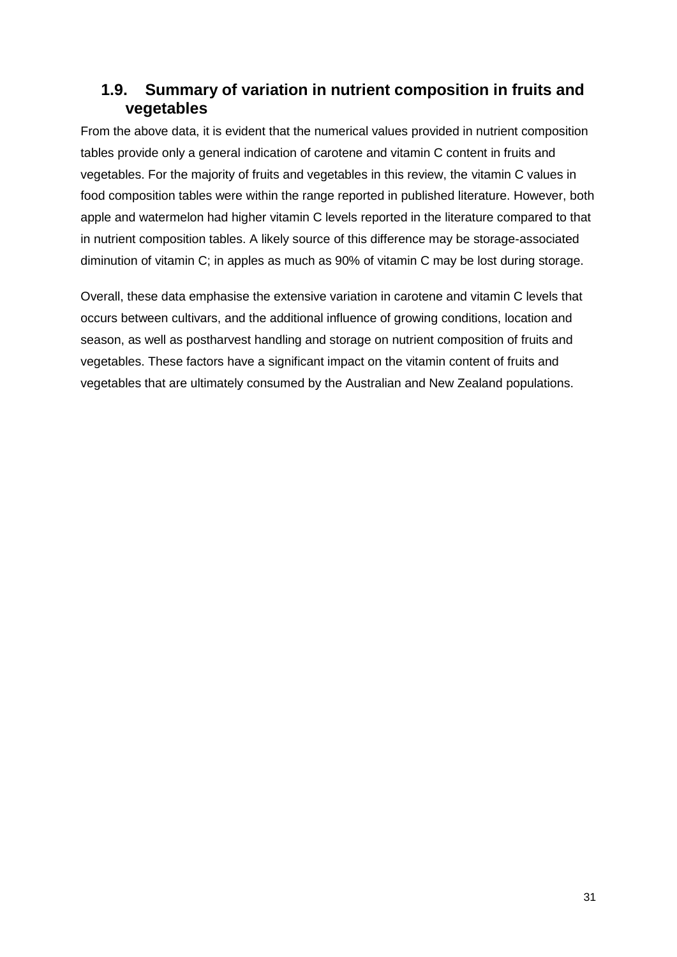#### **1.9. Summary of variation in nutrient composition in fruits and vegetables**

From the above data, it is evident that the numerical values provided in nutrient composition tables provide only a general indication of carotene and vitamin C content in fruits and vegetables. For the majority of fruits and vegetables in this review, the vitamin C values in food composition tables were within the range reported in published literature. However, both apple and watermelon had higher vitamin C levels reported in the literature compared to that in nutrient composition tables. A likely source of this difference may be storage-associated diminution of vitamin C; in apples as much as 90% of vitamin C may be lost during storage.

Overall, these data emphasise the extensive variation in carotene and vitamin C levels that occurs between cultivars, and the additional influence of growing conditions, location and season, as well as postharvest handling and storage on nutrient composition of fruits and vegetables. These factors have a significant impact on the vitamin content of fruits and vegetables that are ultimately consumed by the Australian and New Zealand populations.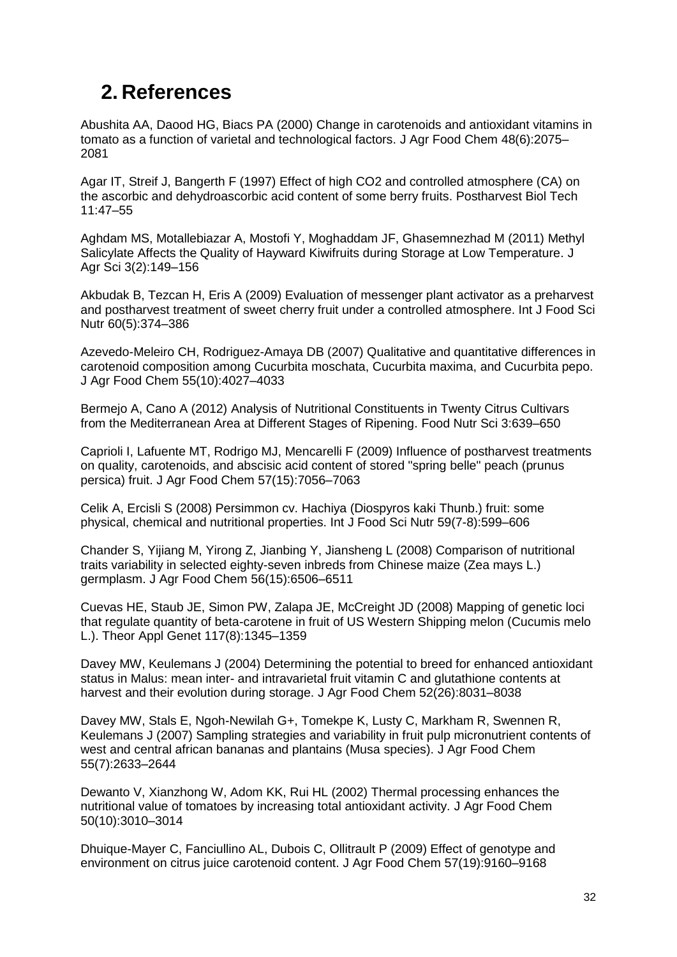## **2. References**

Abushita AA, Daood HG, Biacs PA (2000) Change in carotenoids and antioxidant vitamins in tomato as a function of varietal and technological factors. J Agr Food Chem 48(6):2075– 2081

Agar IT, Streif J, Bangerth F (1997) Effect of high CO2 and controlled atmosphere (CA) on the ascorbic and dehydroascorbic acid content of some berry fruits. Postharvest Biol Tech 11:47–55

Aghdam MS, Motallebiazar A, Mostofi Y, Moghaddam JF, Ghasemnezhad M (2011) Methyl Salicylate Affects the Quality of Hayward Kiwifruits during Storage at Low Temperature. J Agr Sci 3(2):149–156

Akbudak B, Tezcan H, Eris A (2009) Evaluation of messenger plant activator as a preharvest and postharvest treatment of sweet cherry fruit under a controlled atmosphere. Int J Food Sci Nutr 60(5):374–386

Azevedo-Meleiro CH, Rodriguez-Amaya DB (2007) Qualitative and quantitative differences in carotenoid composition among Cucurbita moschata, Cucurbita maxima, and Cucurbita pepo. J Agr Food Chem 55(10):4027–4033

Bermejo A, Cano A (2012) Analysis of Nutritional Constituents in Twenty Citrus Cultivars from the Mediterranean Area at Different Stages of Ripening. Food Nutr Sci 3:639–650

Caprioli I, Lafuente MT, Rodrigo MJ, Mencarelli F (2009) Influence of postharvest treatments on quality, carotenoids, and abscisic acid content of stored "spring belle" peach (prunus persica) fruit. J Agr Food Chem 57(15):7056–7063

Celik A, Ercisli S (2008) Persimmon cv. Hachiya (Diospyros kaki Thunb.) fruit: some physical, chemical and nutritional properties. Int J Food Sci Nutr 59(7-8):599–606

Chander S, Yijiang M, Yirong Z, Jianbing Y, Jiansheng L (2008) Comparison of nutritional traits variability in selected eighty-seven inbreds from Chinese maize (Zea mays L.) germplasm. J Agr Food Chem 56(15):6506–6511

Cuevas HE, Staub JE, Simon PW, Zalapa JE, McCreight JD (2008) Mapping of genetic loci that regulate quantity of beta-carotene in fruit of US Western Shipping melon (Cucumis melo L.). Theor Appl Genet 117(8):1345–1359

Davey MW, Keulemans J (2004) Determining the potential to breed for enhanced antioxidant status in Malus: mean inter- and intravarietal fruit vitamin C and glutathione contents at harvest and their evolution during storage. J Agr Food Chem 52(26):8031–8038

Davey MW, Stals E, Ngoh-Newilah G+, Tomekpe K, Lusty C, Markham R, Swennen R, Keulemans J (2007) Sampling strategies and variability in fruit pulp micronutrient contents of west and central african bananas and plantains (Musa species). J Agr Food Chem 55(7):2633–2644

Dewanto V, Xianzhong W, Adom KK, Rui HL (2002) Thermal processing enhances the nutritional value of tomatoes by increasing total antioxidant activity. J Agr Food Chem 50(10):3010–3014

Dhuique-Mayer C, Fanciullino AL, Dubois C, Ollitrault P (2009) Effect of genotype and environment on citrus juice carotenoid content. J Agr Food Chem 57(19):9160–9168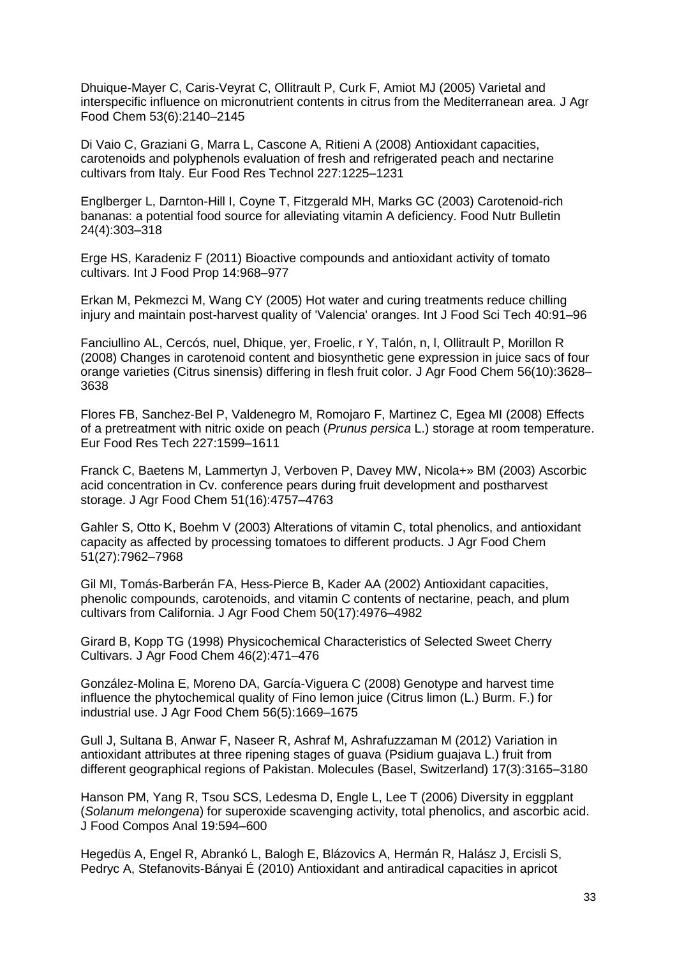Dhuique-Mayer C, Caris-Veyrat C, Ollitrault P, Curk F, Amiot MJ (2005) Varietal and interspecific influence on micronutrient contents in citrus from the Mediterranean area. J Agr Food Chem 53(6):2140–2145

Di Vaio C, Graziani G, Marra L, Cascone A, Ritieni A (2008) Antioxidant capacities, carotenoids and polyphenols evaluation of fresh and refrigerated peach and nectarine cultivars from Italy. Eur Food Res Technol 227:1225–1231

Englberger L, Darnton-Hill I, Coyne T, Fitzgerald MH, Marks GC (2003) Carotenoid-rich bananas: a potential food source for alleviating vitamin A deficiency. Food Nutr Bulletin 24(4):303–318

Erge HS, Karadeniz F (2011) Bioactive compounds and antioxidant activity of tomato cultivars. Int J Food Prop 14:968–977

Erkan M, Pekmezci M, Wang CY (2005) Hot water and curing treatments reduce chilling injury and maintain post-harvest quality of 'Valencia' oranges. Int J Food Sci Tech 40:91–96

Fanciullino AL, Cercós, nuel, Dhique, yer, Froelic, r Y, Talón, n, l, Ollitrault P, Morillon R (2008) Changes in carotenoid content and biosynthetic gene expression in juice sacs of four orange varieties (Citrus sinensis) differing in flesh fruit color. J Agr Food Chem 56(10):3628– 3638

Flores FB, Sanchez-Bel P, Valdenegro M, Romojaro F, Martinez C, Egea MI (2008) Effects of a pretreatment with nitric oxide on peach (*Prunus persica* L.) storage at room temperature. Eur Food Res Tech 227:1599–1611

Franck C, Baetens M, Lammertyn J, Verboven P, Davey MW, Nicola+» BM (2003) Ascorbic acid concentration in Cv. conference pears during fruit development and postharvest storage. J Agr Food Chem 51(16):4757–4763

Gahler S, Otto K, Boehm V (2003) Alterations of vitamin C, total phenolics, and antioxidant capacity as affected by processing tomatoes to different products. J Agr Food Chem 51(27):7962–7968

Gil MI, Tomás-Barberán FA, Hess-Pierce B, Kader AA (2002) Antioxidant capacities, phenolic compounds, carotenoids, and vitamin C contents of nectarine, peach, and plum cultivars from California. J Agr Food Chem 50(17):4976–4982

Girard B, Kopp TG (1998) Physicochemical Characteristics of Selected Sweet Cherry Cultivars. J Agr Food Chem 46(2):471–476

González-Molina E, Moreno DA, García-Viguera C (2008) Genotype and harvest time influence the phytochemical quality of Fino lemon juice (Citrus limon (L.) Burm. F.) for industrial use. J Agr Food Chem 56(5):1669–1675

Gull J, Sultana B, Anwar F, Naseer R, Ashraf M, Ashrafuzzaman M (2012) Variation in antioxidant attributes at three ripening stages of guava (Psidium guajava L.) fruit from different geographical regions of Pakistan. Molecules (Basel, Switzerland) 17(3):3165–3180

Hanson PM, Yang R, Tsou SCS, Ledesma D, Engle L, Lee T (2006) Diversity in eggplant (*Solanum melongena*) for superoxide scavenging activity, total phenolics, and ascorbic acid. J Food Compos Anal 19:594–600

Hegedüs A, Engel R, Abrankó L, Balogh E, Blázovics A, Hermán R, Halász J, Ercisli S, Pedryc A, Stefanovits-Bányai É (2010) Antioxidant and antiradical capacities in apricot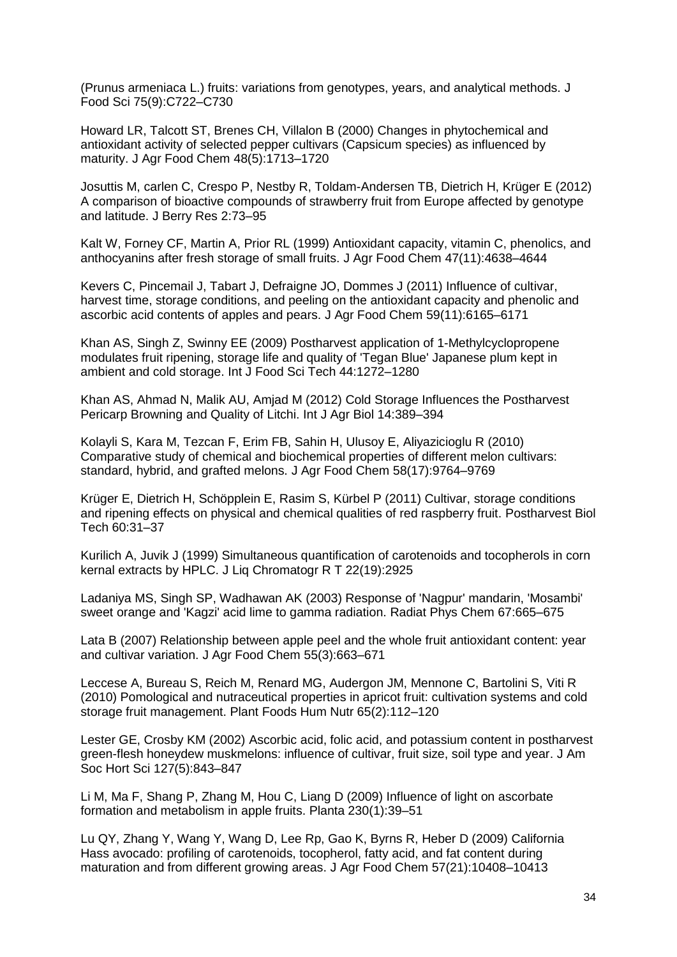(Prunus armeniaca L.) fruits: variations from genotypes, years, and analytical methods. J Food Sci 75(9):C722–C730

Howard LR, Talcott ST, Brenes CH, Villalon B (2000) Changes in phytochemical and antioxidant activity of selected pepper cultivars (Capsicum species) as influenced by maturity. J Agr Food Chem 48(5):1713–1720

Josuttis M, carlen C, Crespo P, Nestby R, Toldam-Andersen TB, Dietrich H, Krüger E (2012) A comparison of bioactive compounds of strawberry fruit from Europe affected by genotype and latitude. J Berry Res 2:73–95

Kalt W, Forney CF, Martin A, Prior RL (1999) Antioxidant capacity, vitamin C, phenolics, and anthocyanins after fresh storage of small fruits. J Agr Food Chem 47(11):4638–4644

Kevers C, Pincemail J, Tabart J, Defraigne JO, Dommes J (2011) Influence of cultivar, harvest time, storage conditions, and peeling on the antioxidant capacity and phenolic and ascorbic acid contents of apples and pears. J Agr Food Chem 59(11):6165–6171

Khan AS, Singh Z, Swinny EE (2009) Postharvest application of 1-Methylcyclopropene modulates fruit ripening, storage life and quality of 'Tegan Blue' Japanese plum kept in ambient and cold storage. Int J Food Sci Tech 44:1272–1280

Khan AS, Ahmad N, Malik AU, Amjad M (2012) Cold Storage Influences the Postharvest Pericarp Browning and Quality of Litchi. Int J Agr Biol 14:389–394

Kolayli S, Kara M, Tezcan F, Erim FB, Sahin H, Ulusoy E, Aliyazicioglu R (2010) Comparative study of chemical and biochemical properties of different melon cultivars: standard, hybrid, and grafted melons. J Agr Food Chem 58(17):9764–9769

Krüger E, Dietrich H, Schöpplein E, Rasim S, Kürbel P (2011) Cultivar, storage conditions and ripening effects on physical and chemical qualities of red raspberry fruit. Postharvest Biol Tech 60:31–37

Kurilich A, Juvik J (1999) Simultaneous quantification of carotenoids and tocopherols in corn kernal extracts by HPLC. J Liq Chromatogr R T 22(19):2925

Ladaniya MS, Singh SP, Wadhawan AK (2003) Response of 'Nagpur' mandarin, 'Mosambi' sweet orange and 'Kagzi' acid lime to gamma radiation. Radiat Phys Chem 67:665–675

Lata B (2007) Relationship between apple peel and the whole fruit antioxidant content: year and cultivar variation. J Agr Food Chem 55(3):663–671

Leccese A, Bureau S, Reich M, Renard MG, Audergon JM, Mennone C, Bartolini S, Viti R (2010) Pomological and nutraceutical properties in apricot fruit: cultivation systems and cold storage fruit management. Plant Foods Hum Nutr 65(2):112–120

Lester GE, Crosby KM (2002) Ascorbic acid, folic acid, and potassium content in postharvest green-flesh honeydew muskmelons: influence of cultivar, fruit size, soil type and year. J Am Soc Hort Sci 127(5):843–847

Li M, Ma F, Shang P, Zhang M, Hou C, Liang D (2009) Influence of light on ascorbate formation and metabolism in apple fruits. Planta 230(1):39–51

Lu QY, Zhang Y, Wang Y, Wang D, Lee Rp, Gao K, Byrns R, Heber D (2009) California Hass avocado: profiling of carotenoids, tocopherol, fatty acid, and fat content during maturation and from different growing areas. J Agr Food Chem 57(21):10408–10413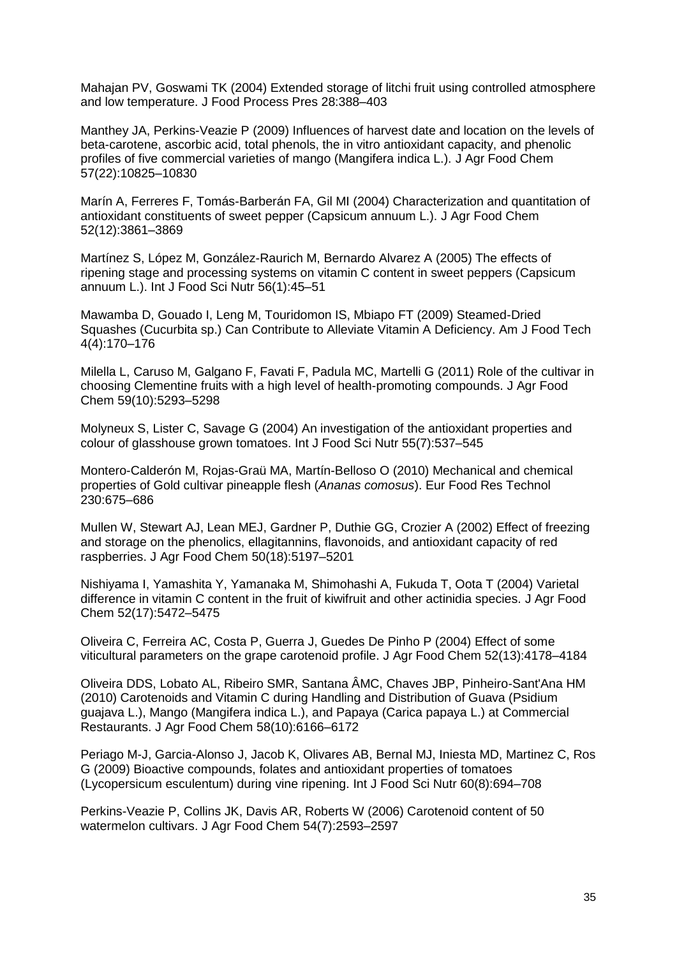Mahajan PV, Goswami TK (2004) Extended storage of litchi fruit using controlled atmosphere and low temperature. J Food Process Pres 28:388–403

Manthey JA, Perkins-Veazie P (2009) Influences of harvest date and location on the levels of beta-carotene, ascorbic acid, total phenols, the in vitro antioxidant capacity, and phenolic profiles of five commercial varieties of mango (Mangifera indica L.). J Agr Food Chem 57(22):10825–10830

Marín A, Ferreres F, Tomás-Barberán FA, Gil MI (2004) Characterization and quantitation of antioxidant constituents of sweet pepper (Capsicum annuum L.). J Agr Food Chem 52(12):3861–3869

Martínez S, López M, González-Raurich M, Bernardo Alvarez A (2005) The effects of ripening stage and processing systems on vitamin C content in sweet peppers (Capsicum annuum L.). Int J Food Sci Nutr 56(1):45–51

Mawamba D, Gouado I, Leng M, Touridomon IS, Mbiapo FT (2009) Steamed-Dried Squashes (Cucurbita sp.) Can Contribute to Alleviate Vitamin A Deficiency. Am J Food Tech 4(4):170–176

Milella L, Caruso M, Galgano F, Favati F, Padula MC, Martelli G (2011) Role of the cultivar in choosing Clementine fruits with a high level of health-promoting compounds. J Agr Food Chem 59(10):5293–5298

Molyneux S, Lister C, Savage G (2004) An investigation of the antioxidant properties and colour of glasshouse grown tomatoes. Int J Food Sci Nutr 55(7):537–545

Montero-Calderón M, Rojas-Graü MA, Martín-Belloso O (2010) Mechanical and chemical properties of Gold cultivar pineapple flesh (*Ananas comosus*). Eur Food Res Technol 230:675–686

Mullen W, Stewart AJ, Lean MEJ, Gardner P, Duthie GG, Crozier A (2002) Effect of freezing and storage on the phenolics, ellagitannins, flavonoids, and antioxidant capacity of red raspberries. J Agr Food Chem 50(18):5197–5201

Nishiyama I, Yamashita Y, Yamanaka M, Shimohashi A, Fukuda T, Oota T (2004) Varietal difference in vitamin C content in the fruit of kiwifruit and other actinidia species. J Agr Food Chem 52(17):5472–5475

Oliveira C, Ferreira AC, Costa P, Guerra J, Guedes De Pinho P (2004) Effect of some viticultural parameters on the grape carotenoid profile. J Agr Food Chem 52(13):4178–4184

Oliveira DDS, Lobato AL, Ribeiro SMR, Santana ÂMC, Chaves JBP, Pinheiro-Sant'Ana HM (2010) Carotenoids and Vitamin C during Handling and Distribution of Guava (Psidium guajava L.), Mango (Mangifera indica L.), and Papaya (Carica papaya L.) at Commercial Restaurants. J Agr Food Chem 58(10):6166–6172

Periago M-J, Garcia-Alonso J, Jacob K, Olivares AB, Bernal MJ, Iniesta MD, Martinez C, Ros G (2009) Bioactive compounds, folates and antioxidant properties of tomatoes (Lycopersicum esculentum) during vine ripening. Int J Food Sci Nutr 60(8):694–708

Perkins-Veazie P, Collins JK, Davis AR, Roberts W (2006) Carotenoid content of 50 watermelon cultivars. J Agr Food Chem 54(7):2593–2597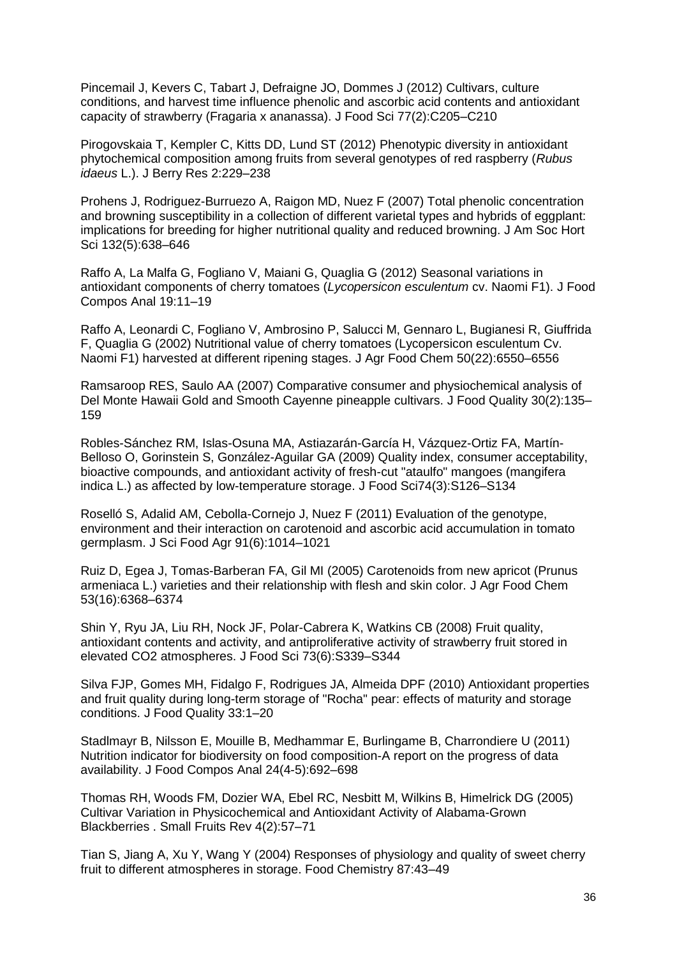Pincemail J, Kevers C, Tabart J, Defraigne JO, Dommes J (2012) Cultivars, culture conditions, and harvest time influence phenolic and ascorbic acid contents and antioxidant capacity of strawberry (Fragaria x ananassa). J Food Sci 77(2):C205–C210

Pirogovskaia T, Kempler C, Kitts DD, Lund ST (2012) Phenotypic diversity in antioxidant phytochemical composition among fruits from several genotypes of red raspberry (*Rubus idaeus* L.). J Berry Res 2:229–238

Prohens J, Rodriguez-Burruezo A, Raigon MD, Nuez F (2007) Total phenolic concentration and browning susceptibility in a collection of different varietal types and hybrids of eggplant: implications for breeding for higher nutritional quality and reduced browning. J Am Soc Hort Sci 132(5):638–646

Raffo A, La Malfa G, Fogliano V, Maiani G, Quaglia G (2012) Seasonal variations in antioxidant components of cherry tomatoes (*Lycopersicon esculentum* cv. Naomi F1). J Food Compos Anal 19:11–19

Raffo A, Leonardi C, Fogliano V, Ambrosino P, Salucci M, Gennaro L, Bugianesi R, Giuffrida F, Quaglia G (2002) Nutritional value of cherry tomatoes (Lycopersicon esculentum Cv. Naomi F1) harvested at different ripening stages. J Agr Food Chem 50(22):6550–6556

Ramsaroop RES, Saulo AA (2007) Comparative consumer and physiochemical analysis of Del Monte Hawaii Gold and Smooth Cayenne pineapple cultivars. J Food Quality 30(2):135– 159

Robles-Sánchez RM, Islas-Osuna MA, Astiazarán-García H, Vázquez-Ortiz FA, Martín-Belloso O, Gorinstein S, González-Aguilar GA (2009) Quality index, consumer acceptability, bioactive compounds, and antioxidant activity of fresh-cut "ataulfo" mangoes (mangifera indica L.) as affected by low-temperature storage. J Food Sci74(3):S126–S134

Roselló S, Adalid AM, Cebolla-Cornejo J, Nuez F (2011) Evaluation of the genotype, environment and their interaction on carotenoid and ascorbic acid accumulation in tomato germplasm. J Sci Food Agr 91(6):1014–1021

Ruiz D, Egea J, Tomas-Barberan FA, Gil MI (2005) Carotenoids from new apricot (Prunus armeniaca L.) varieties and their relationship with flesh and skin color. J Agr Food Chem 53(16):6368–6374

Shin Y, Ryu JA, Liu RH, Nock JF, Polar-Cabrera K, Watkins CB (2008) Fruit quality, antioxidant contents and activity, and antiproliferative activity of strawberry fruit stored in elevated CO2 atmospheres. J Food Sci 73(6):S339–S344

Silva FJP, Gomes MH, Fidalgo F, Rodrigues JA, Almeida DPF (2010) Antioxidant properties and fruit quality during long-term storage of "Rocha" pear: effects of maturity and storage conditions. J Food Quality 33:1–20

Stadlmayr B, Nilsson E, Mouille B, Medhammar E, Burlingame B, Charrondiere U (2011) Nutrition indicator for biodiversity on food composition-A report on the progress of data availability. J Food Compos Anal 24(4-5):692–698

Thomas RH, Woods FM, Dozier WA, Ebel RC, Nesbitt M, Wilkins B, Himelrick DG (2005) Cultivar Variation in Physicochemical and Antioxidant Activity of Alabama-Grown Blackberries . Small Fruits Rev 4(2):57–71

Tian S, Jiang A, Xu Y, Wang Y (2004) Responses of physiology and quality of sweet cherry fruit to different atmospheres in storage. Food Chemistry 87:43–49